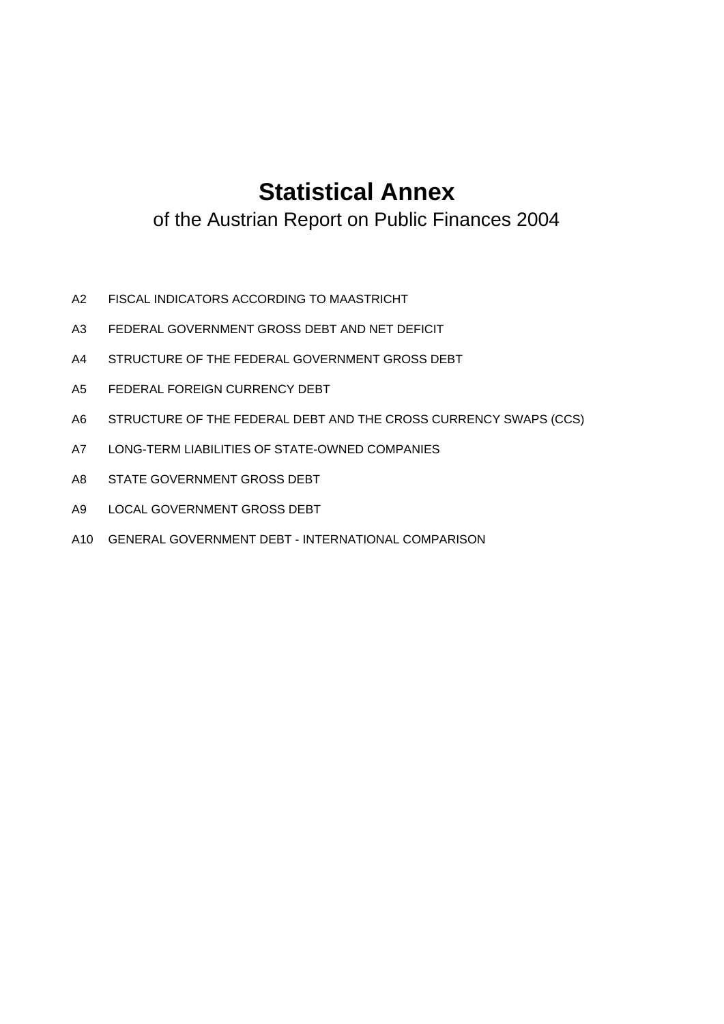# **Statistical Annex**

of the Austrian Report on Public Finances 2004

- A2 FISCAL INDICATORS ACCORDING TO MAASTRICHT
- A3 FEDERAL GOVERNMENT GROSS DEBT AND NET DEFICIT
- A4 STRUCTURE OF THE FEDERAL GOVERNMENT GROSS DEBT
- A5 FEDERAL FOREIGN CURRENCY DEBT
- A6 STRUCTURE OF THE FEDERAL DEBT AND THE CROSS CURRENCY SWAPS (CCS)
- A7 LONG-TERM LIABILITIES OF STATE-OWNED COMPANIES
- A8 STATE GOVERNMENT GROSS DEBT
- A9 LOCAL GOVERNMENT GROSS DEBT
- A10 GENERAL GOVERNMENT DEBT INTERNATIONAL COMPARISON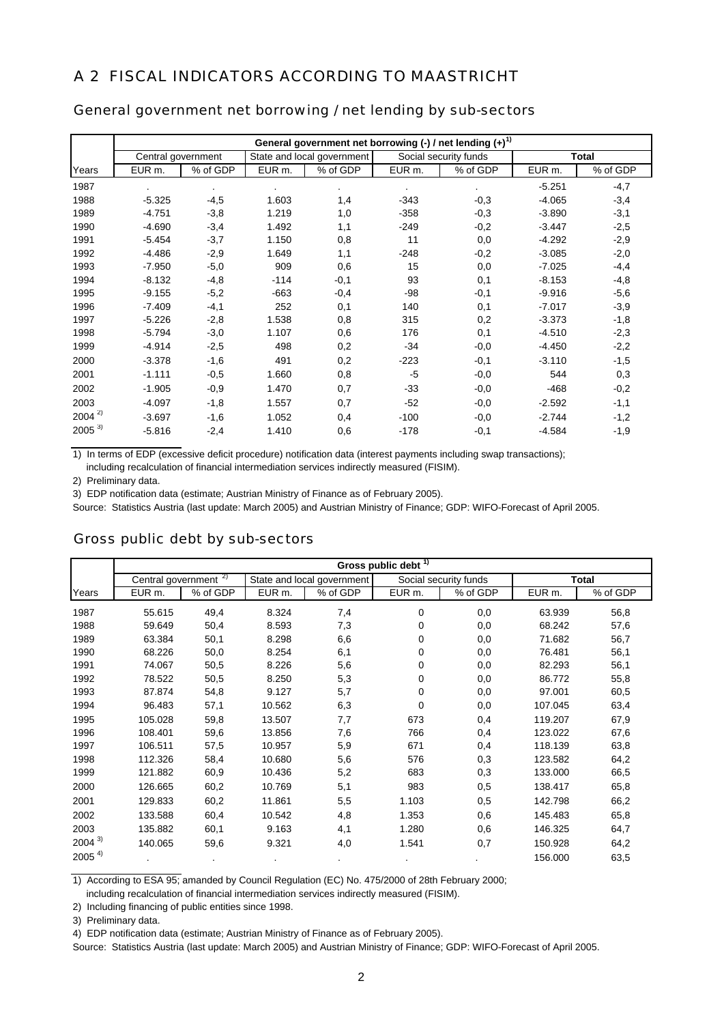### A 2 FISCAL INDICATORS ACCORDING TO MAASTRICHT

#### General government net borrowing / net lending by sub-sectors

|            | General government net borrowing $(-)$ / net lending $(+)^{1}$ |                |        |                            |        |                       |          |              |  |  |  |
|------------|----------------------------------------------------------------|----------------|--------|----------------------------|--------|-----------------------|----------|--------------|--|--|--|
|            | Central government                                             |                |        | State and local government |        | Social security funds |          | <b>Total</b> |  |  |  |
| Years      | EUR m.                                                         | % of GDP       | EUR m. | % of GDP                   | EUR m. | % of GDP              | EUR m.   | % of GDP     |  |  |  |
| 1987       |                                                                | $\blacksquare$ |        | $\blacksquare$             |        | $\sim$                | $-5.251$ | $-4,7$       |  |  |  |
| 1988       | $-5.325$                                                       | $-4,5$         | 1.603  | 1,4                        | $-343$ | $-0,3$                | $-4.065$ | $-3,4$       |  |  |  |
| 1989       | $-4.751$                                                       | $-3,8$         | 1.219  | 1,0                        | $-358$ | $-0,3$                | $-3.890$ | $-3,1$       |  |  |  |
| 1990       | $-4.690$                                                       | $-3,4$         | 1.492  | 1,1                        | $-249$ | $-0,2$                | $-3.447$ | $-2,5$       |  |  |  |
| 1991       | $-5.454$                                                       | $-3,7$         | 1.150  | 0,8                        | 11     | 0,0                   | $-4.292$ | $-2,9$       |  |  |  |
| 1992       | $-4.486$                                                       | $-2,9$         | 1.649  | 1,1                        | $-248$ | $-0,2$                | $-3.085$ | $-2,0$       |  |  |  |
| 1993       | $-7.950$                                                       | $-5,0$         | 909    | 0,6                        | 15     | 0,0                   | $-7.025$ | $-4,4$       |  |  |  |
| 1994       | $-8.132$                                                       | $-4,8$         | $-114$ | $-0,1$                     | 93     | 0,1                   | $-8.153$ | $-4,8$       |  |  |  |
| 1995       | $-9.155$                                                       | $-5,2$         | $-663$ | $-0,4$                     | $-98$  | $-0,1$                | $-9.916$ | $-5,6$       |  |  |  |
| 1996       | $-7.409$                                                       | $-4,1$         | 252    | 0,1                        | 140    | 0,1                   | $-7.017$ | $-3,9$       |  |  |  |
| 1997       | $-5.226$                                                       | $-2,8$         | 1.538  | 0,8                        | 315    | 0,2                   | $-3.373$ | $-1,8$       |  |  |  |
| 1998       | $-5.794$                                                       | $-3,0$         | 1.107  | 0,6                        | 176    | 0,1                   | $-4.510$ | $-2,3$       |  |  |  |
| 1999       | $-4.914$                                                       | $-2,5$         | 498    | 0,2                        | $-34$  | $-0,0$                | $-4.450$ | $-2,2$       |  |  |  |
| 2000       | $-3.378$                                                       | $-1,6$         | 491    | 0,2                        | $-223$ | $-0,1$                | $-3.110$ | $-1,5$       |  |  |  |
| 2001       | $-1.111$                                                       | $-0,5$         | 1.660  | 0,8                        | $-5$   | $-0,0$                | 544      | 0,3          |  |  |  |
| 2002       | $-1.905$                                                       | $-0,9$         | 1.470  | 0,7                        | $-33$  | $-0,0$                | $-468$   | $-0,2$       |  |  |  |
| 2003       | $-4.097$                                                       | $-1,8$         | 1.557  | 0,7                        | $-52$  | $-0,0$                | $-2.592$ | $-1,1$       |  |  |  |
| $2004^{2}$ | $-3.697$                                                       | $-1,6$         | 1.052  | 0,4                        | $-100$ | $-0,0$                | $-2.744$ | $-1,2$       |  |  |  |
| $2005^{3}$ | $-5.816$                                                       | $-2,4$         | 1.410  | 0,6                        | $-178$ | $-0,1$                | $-4.584$ | $-1,9$       |  |  |  |

1) In terms of EDP (excessive deficit procedure) notification data (interest payments including swap transactions);

including recalculation of financial intermediation services indirectly measured (FISIM).

2) Preliminary data.

3) EDP notification data (estimate; Austrian Ministry of Finance as of February 2005).

Source: Statistics Austria (last update: March 2005) and Austrian Ministry of Finance; GDP: WIFO-Forecast of April 2005.

#### Gross public debt by sub-sectors

|            | Gross public debt <sup>1)</sup>  |          |                    |                            |        |                       |                   |              |  |  |  |
|------------|----------------------------------|----------|--------------------|----------------------------|--------|-----------------------|-------------------|--------------|--|--|--|
|            | Central government <sup>2)</sup> |          |                    | State and local government |        | Social security funds |                   | <b>Total</b> |  |  |  |
| Years      | EUR m.                           | % of GDP | EUR <sub>m</sub> . | % of GDP                   | EUR m. | % of GDP              | EUR <sub>m.</sub> | % of GDP     |  |  |  |
| 1987       | 55.615                           | 49,4     | 8.324              | 7,4                        | 0      | 0,0                   | 63.939            | 56,8         |  |  |  |
| 1988       | 59.649                           | 50,4     | 8.593              | 7,3                        | 0      | 0,0                   | 68.242            | 57,6         |  |  |  |
| 1989       | 63.384                           | 50,1     | 8.298              | 6,6                        | 0      | 0,0                   | 71.682            | 56,7         |  |  |  |
| 1990       | 68.226                           | 50,0     | 8.254              | 6,1                        | 0      | 0,0                   | 76.481            | 56,1         |  |  |  |
| 1991       | 74.067                           | 50,5     | 8.226              | 5,6                        | 0      | 0,0                   | 82.293            | 56,1         |  |  |  |
| 1992       | 78.522                           | 50,5     | 8.250              | 5,3                        | 0      | 0,0                   | 86.772            | 55,8         |  |  |  |
| 1993       | 87.874                           | 54,8     | 9.127              | 5,7                        | 0      | 0,0                   | 97.001            | 60,5         |  |  |  |
| 1994       | 96.483                           | 57,1     | 10.562             | 6,3                        | 0      | 0,0                   | 107.045           | 63,4         |  |  |  |
| 1995       | 105.028                          | 59,8     | 13.507             | 7,7                        | 673    | 0,4                   | 119.207           | 67,9         |  |  |  |
| 1996       | 108.401                          | 59,6     | 13.856             | 7,6                        | 766    | 0,4                   | 123.022           | 67,6         |  |  |  |
| 1997       | 106.511                          | 57,5     | 10.957             | 5,9                        | 671    | 0,4                   | 118.139           | 63,8         |  |  |  |
| 1998       | 112.326                          | 58,4     | 10.680             | 5,6                        | 576    | 0,3                   | 123.582           | 64,2         |  |  |  |
| 1999       | 121.882                          | 60,9     | 10.436             | 5,2                        | 683    | 0,3                   | 133.000           | 66,5         |  |  |  |
| 2000       | 126.665                          | 60,2     | 10.769             | 5,1                        | 983    | 0,5                   | 138.417           | 65,8         |  |  |  |
| 2001       | 129.833                          | 60,2     | 11.861             | 5,5                        | 1.103  | 0,5                   | 142.798           | 66,2         |  |  |  |
| 2002       | 133.588                          | 60,4     | 10.542             | 4,8                        | 1.353  | 0,6                   | 145.483           | 65,8         |  |  |  |
| 2003       | 135.882                          | 60,1     | 9.163              | 4,1                        | 1.280  | 0,6                   | 146.325           | 64,7         |  |  |  |
| $2004^{3}$ | 140.065                          | 59,6     | 9.321              | 4,0                        | 1.541  | 0,7                   | 150.928           | 64,2         |  |  |  |
| $2005^{4}$ |                                  |          |                    |                            |        |                       | 156.000           | 63,5         |  |  |  |

1) According to ESA 95; amanded by Council Regulation (EC) No. 475/2000 of 28th February 2000;

including recalculation of financial intermediation services indirectly measured (FISIM).

3) Preliminary data.

4) EDP notification data (estimate; Austrian Ministry of Finance as of February 2005).

Source: Statistics Austria (last update: March 2005) and Austrian Ministry of Finance; GDP: WIFO-Forecast of April 2005.

<sup>2)</sup> Including financing of public entities since 1998.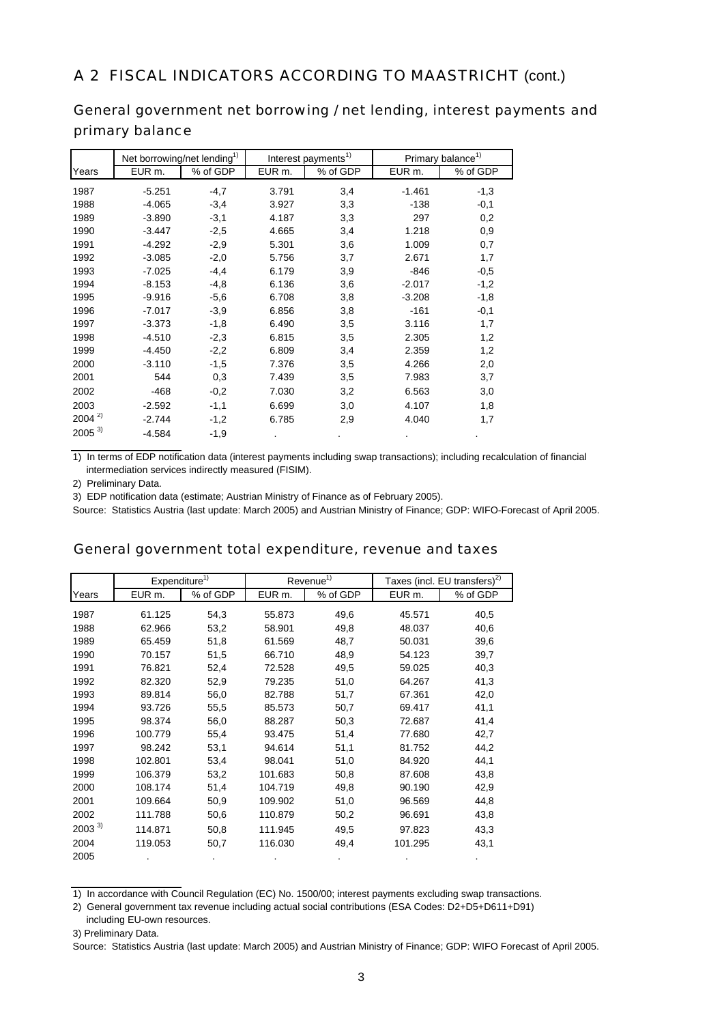### A 2 FISCAL INDICATORS ACCORDING TO MAASTRICHT (cont.)

### General government net borrowing / net lending, interest payments and primary balance

|            | Net borrowing/net lending <sup>1)</sup> |          |        | Interest payments <sup>1)</sup> | Primary balance <sup>1)</sup> |          |  |
|------------|-----------------------------------------|----------|--------|---------------------------------|-------------------------------|----------|--|
| Years      | EUR m.                                  | % of GDP | EUR m. | % of GDP                        | EUR m.                        | % of GDP |  |
| 1987       | $-5.251$                                | $-4,7$   | 3.791  | 3,4                             | $-1.461$                      | $-1,3$   |  |
| 1988       | $-4.065$                                | $-3,4$   | 3.927  | 3,3                             | $-138$                        | $-0,1$   |  |
| 1989       | $-3.890$                                | $-3,1$   | 4.187  | 3,3                             | 297                           | 0,2      |  |
| 1990       | $-3.447$                                | $-2,5$   | 4.665  | 3,4                             | 1.218                         | 0,9      |  |
| 1991       | $-4.292$                                | $-2,9$   | 5.301  | 3,6                             | 1.009                         | 0,7      |  |
| 1992       | $-3.085$                                | $-2,0$   | 5.756  | 3,7                             | 2.671                         | 1,7      |  |
| 1993       | $-7.025$                                | $-4,4$   | 6.179  | 3,9                             | $-846$                        | $-0,5$   |  |
| 1994       | $-8.153$                                | $-4,8$   | 6.136  | 3,6                             | $-2.017$                      | $-1,2$   |  |
| 1995       | $-9.916$                                | $-5,6$   | 6.708  | 3,8                             | $-3.208$                      | $-1,8$   |  |
| 1996       | $-7.017$                                | $-3,9$   | 6.856  | 3,8                             | $-161$                        | $-0,1$   |  |
| 1997       | $-3.373$                                | $-1,8$   | 6.490  | 3,5                             | 3.116                         | 1,7      |  |
| 1998       | $-4.510$                                | $-2,3$   | 6.815  | 3,5                             | 2.305                         | 1,2      |  |
| 1999       | $-4.450$                                | $-2,2$   | 6.809  | 3,4                             | 2.359                         | 1,2      |  |
| 2000       | $-3.110$                                | $-1,5$   | 7.376  | 3,5                             | 4.266                         | 2,0      |  |
| 2001       | 544                                     | 0,3      | 7.439  | 3,5                             | 7.983                         | 3,7      |  |
| 2002       | $-468$                                  | $-0,2$   | 7.030  | 3,2                             | 6.563                         | 3,0      |  |
| 2003       | $-2.592$                                | $-1,1$   | 6.699  | 3,0                             | 4.107                         | 1,8      |  |
| $2004^{2}$ | $-2.744$                                | $-1,2$   | 6.785  | 2,9                             | 4.040                         | 1,7      |  |
| $2005^{3}$ | $-4.584$                                | $-1,9$   |        |                                 |                               |          |  |

1) In terms of EDP notification data (interest payments including swap transactions); including recalculation of financial intermediation services indirectly measured (FISIM).

2) Preliminary Data.

3) EDP notification data (estimate; Austrian Ministry of Finance as of February 2005).

Source: Statistics Austria (last update: March 2005) and Austrian Ministry of Finance; GDP: WIFO-Forecast of April 2005.

### General government total expenditure, revenue and taxes

|            | Expenditure <sup>1)</sup> |          |         | Revenue <sup>1)</sup> |                    | Taxes (incl. EU transfers) <sup>2)</sup> |
|------------|---------------------------|----------|---------|-----------------------|--------------------|------------------------------------------|
| Years      | EUR m.                    | % of GDP | EUR m.  | % of GDP              | EUR <sub>m</sub> . | % of GDP                                 |
| 1987       | 61.125                    | 54,3     | 55.873  | 49,6                  | 45.571             | 40,5                                     |
| 1988       | 62.966                    | 53,2     | 58.901  | 49,8                  | 48.037             | 40,6                                     |
| 1989       | 65.459                    | 51,8     | 61.569  | 48,7                  | 50.031             | 39,6                                     |
| 1990       | 70.157                    | 51,5     | 66.710  | 48,9                  | 54.123             | 39,7                                     |
| 1991       | 76.821                    | 52,4     | 72.528  | 49,5                  | 59.025             | 40,3                                     |
| 1992       | 82.320                    | 52,9     | 79.235  | 51,0                  | 64.267             | 41,3                                     |
| 1993       | 89.814                    | 56,0     | 82.788  | 51,7                  | 67.361             | 42,0                                     |
| 1994       | 93.726                    | 55,5     | 85.573  | 50,7                  | 69.417             | 41,1                                     |
| 1995       | 98.374                    | 56,0     | 88.287  | 50,3                  | 72.687             | 41,4                                     |
| 1996       | 100.779                   | 55,4     | 93.475  | 51,4                  | 77.680             | 42,7                                     |
| 1997       | 98.242                    | 53,1     | 94.614  | 51,1                  | 81.752             | 44,2                                     |
| 1998       | 102.801                   | 53,4     | 98.041  | 51,0                  | 84.920             | 44,1                                     |
| 1999       | 106.379                   | 53,2     | 101.683 | 50,8                  | 87.608             | 43,8                                     |
| 2000       | 108.174                   | 51,4     | 104.719 | 49,8                  | 90.190             | 42,9                                     |
| 2001       | 109.664                   | 50,9     | 109.902 | 51,0                  | 96.569             | 44,8                                     |
| 2002       | 111.788                   | 50,6     | 110.879 | 50,2                  | 96.691             | 43,8                                     |
| $2003^{3}$ | 114.871                   | 50,8     | 111.945 | 49,5                  | 97.823             | 43,3                                     |
| 2004       | 119.053                   | 50,7     | 116.030 | 49,4                  | 101.295            | 43,1                                     |
| 2005       |                           |          |         |                       |                    |                                          |

<sup>1)</sup> In accordance with Council Regulation (EC) No. 1500/00; interest payments excluding swap transactions.

2) General government tax revenue including actual social contributions (ESA Codes: D2+D5+D611+D91)

including EU-own resources.

<sup>3)</sup> Preliminary Data.

Source: Statistics Austria (last update: March 2005) and Austrian Ministry of Finance; GDP: WIFO Forecast of April 2005.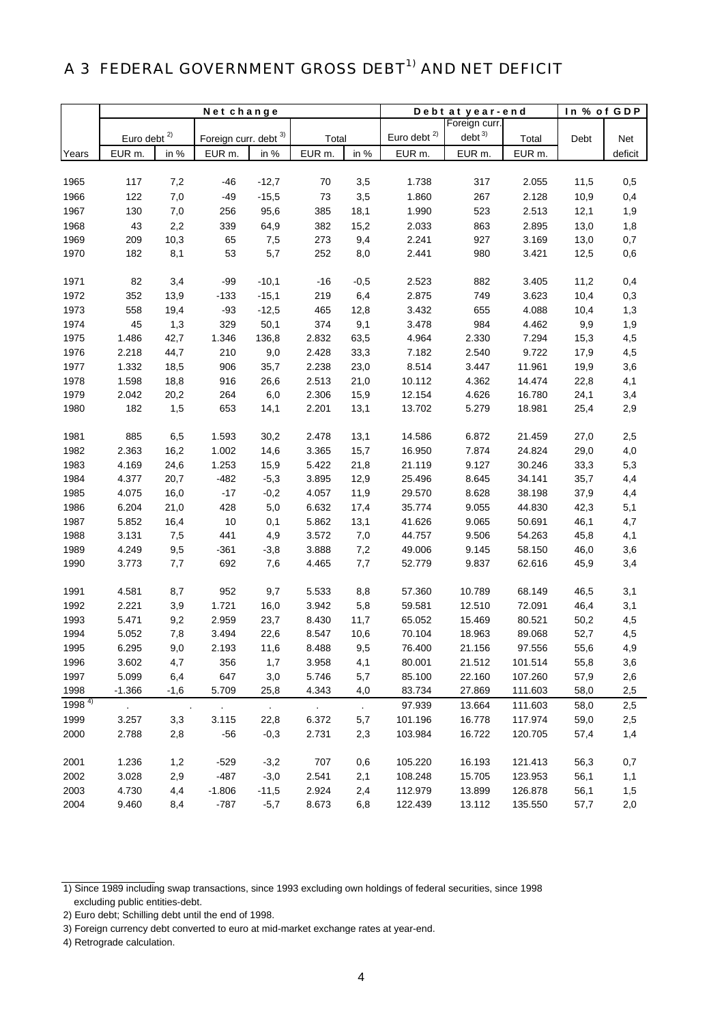# A 3 FEDERAL GOVERNMENT GROSS DEBT<sup>1)</sup> AND NET DEFICIT

|            | Net change              |           |                       |                             |            |        | Debt at year-end | In % of GDP       |         |      |         |
|------------|-------------------------|-----------|-----------------------|-----------------------------|------------|--------|------------------|-------------------|---------|------|---------|
|            |                         |           |                       |                             |            |        |                  | Foreign curr.     |         |      |         |
|            | Euro debt <sup>2)</sup> |           | Foreign curr. debt 3) |                             | Total      |        | Euro debt $2)$   | debt <sup>3</sup> | Total   | Debt | Net     |
| Years      | EUR m.                  | in %      | EUR m.                | in %                        | EUR m.     | in %   | EUR m.           | EUR m.            | EUR m.  |      | deficit |
|            |                         |           |                       |                             |            |        |                  |                   |         |      |         |
| 1965       | 117                     | 7,2       | $-46$                 | $-12,7$                     | 70         | 3,5    | 1.738            | 317               | 2.055   | 11,5 | 0,5     |
| 1966       | 122                     | 7,0       | $-49$                 | $-15,5$                     | 73         | 3,5    | 1.860            | 267               | 2.128   | 10,9 | 0,4     |
| 1967       | 130                     | 7,0       | 256                   | 95,6                        | 385        | 18,1   | 1.990            | 523               | 2.513   | 12,1 | 1,9     |
| 1968       | 43                      | 2,2       | 339                   | 64,9                        | 382        | 15,2   | 2.033            | 863               | 2.895   | 13,0 | 1,8     |
| 1969       | 209                     | 10,3      | 65                    | 7,5                         | 273        | 9,4    | 2.241            | 927               | 3.169   | 13,0 | 0,7     |
| 1970       | 182                     | 8,1       | 53                    | 5,7                         | 252        | 8,0    | 2.441            | 980               | 3.421   | 12,5 | 0,6     |
|            |                         |           |                       |                             |            |        |                  |                   |         |      |         |
| 1971       | 82                      | 3,4       | $-99$                 | $-10,1$                     | $-16$      | $-0,5$ | 2.523            | 882               | 3.405   | 11,2 | 0,4     |
| 1972       | 352                     | 13,9      | $-133$                | $-15,1$                     | 219        | 6,4    | 2.875            | 749               | 3.623   | 10,4 | 0,3     |
| 1973       | 558                     | 19,4      | $-93$                 | $-12,5$                     | 465        | 12,8   | 3.432            | 655               | 4.088   | 10,4 | 1,3     |
| 1974       | 45                      | 1,3       | 329                   | 50,1                        | 374        | 9,1    | 3.478            | 984               | 4.462   | 9,9  | 1,9     |
| 1975       | 1.486                   | 42,7      | 1.346                 | 136,8                       | 2.832      | 63,5   | 4.964            | 2.330             | 7.294   | 15,3 | 4,5     |
| 1976       | 2.218                   | 44,7      | 210                   | 9,0                         | 2.428      | 33,3   | 7.182            | 2.540             | 9.722   | 17,9 | 4,5     |
| 1977       | 1.332                   | 18,5      | 906                   | 35,7                        | 2.238      | 23,0   | 8.514            | 3.447             | 11.961  | 19,9 | 3,6     |
| 1978       | 1.598                   | 18,8      | 916                   | 26,6                        | 2.513      | 21,0   | 10.112           | 4.362             | 14.474  | 22,8 | 4,1     |
| 1979       | 2.042                   | 20,2      | 264                   | 6,0                         | 2.306      | 15,9   | 12.154           | 4.626             | 16.780  | 24,1 | 3,4     |
| 1980       | 182                     | 1,5       | 653                   | 14,1                        | 2.201      | 13,1   | 13.702           | 5.279             | 18.981  | 25,4 | 2,9     |
| 1981       | 885                     | 6,5       | 1.593                 | 30,2                        | 2.478      | 13,1   | 14.586           | 6.872             | 21.459  | 27,0 | 2,5     |
| 1982       | 2.363                   | 16,2      | 1.002                 | 14,6                        | 3.365      | 15,7   | 16.950           | 7.874             | 24.824  | 29,0 | 4,0     |
| 1983       | 4.169                   | 24,6      | 1.253                 | 15,9                        | 5.422      | 21,8   | 21.119           | 9.127             | 30.246  | 33,3 | 5,3     |
| 1984       | 4.377                   | 20,7      | $-482$                | $-5,3$                      | 3.895      | 12,9   | 25.496           | 8.645             | 34.141  | 35,7 | 4,4     |
| 1985       | 4.075                   | 16,0      | $-17$                 | $-0,2$                      | 4.057      | 11,9   | 29.570           | 8.628             | 38.198  | 37,9 | 4,4     |
| 1986       | 6.204                   | 21,0      | 428                   | 5,0                         | 6.632      | 17,4   | 35.774           | 9.055             | 44.830  | 42,3 | 5,1     |
| 1987       | 5.852                   | 16,4      | $10$                  | 0,1                         | 5.862      | 13,1   | 41.626           | 9.065             | 50.691  | 46,1 | 4,7     |
| 1988       | 3.131                   | 7,5       | 441                   | 4,9                         | 3.572      | 7,0    | 44.757           | 9.506             | 54.263  | 45,8 | 4,1     |
| 1989       | 4.249                   | 9,5       | $-361$                | $-3,8$                      | 3.888      | 7,2    | 49.006           | 9.145             | 58.150  | 46,0 | 3,6     |
| 1990       | 3.773                   | 7,7       | 692                   | 7,6                         | 4.465      | 7,7    | 52.779           | 9.837             | 62.616  | 45,9 | 3,4     |
| 1991       | 4.581                   | 8,7       | 952                   | 9,7                         | 5.533      | 8,8    | 57.360           | 10.789            | 68.149  | 46,5 | 3,1     |
| 1992       | 2.221                   | 3,9       | 1.721                 | 16,0                        | 3.942      | 5,8    | 59.581           | 12.510            | 72.091  | 46,4 | 3,1     |
| 1993       | 5.471                   | 9,2       | 2.959                 | 23,7                        | 8.430      | 11,7   | 65.052           | 15.469            | 80.521  | 50,2 | 4,5     |
| 1994       | 5.052                   | 7,8       | 3.494                 | 22,6                        | 8.547      | 10,6   | 70.104           | 18.963            | 89.068  | 52,7 | 4,5     |
| 1995       | 6.295                   | 9,0       | 2.193                 | 11,6                        | 8.488      | 9,5    | 76.400           | 21.156            | 97.556  | 55,6 | 4,9     |
| 1996       | 3.602                   | 4,7       | 356                   | 1,7                         | 3.958      | 4,1    | 80.001           | 21.512            | 101.514 | 55,8 | 3,6     |
| 1997       | 5.099                   | 6,4       | 647                   | 3,0                         | 5.746      | 5,7    | 85.100           | 22.160            | 107.260 | 57,9 | 2,6     |
| 1998       | $-1.366$                | $-1,6$    | 5.709                 | 25,8                        | 4.343      | 4,0    | 83.734           | 27.869            | 111.603 | 58,0 | 2,5     |
| $1998^{4}$ | $\epsilon$              | $\bullet$ | $\sim$                | $\mathcal{L}_{\mathcal{A}}$ | $\epsilon$ | $\sim$ | 97.939           | 13.664            | 111.603 | 58,0 | 2,5     |
| 1999       | 3.257                   | 3,3       | 3.115                 | 22,8                        | 6.372      | 5,7    | 101.196          | 16.778            | 117.974 | 59,0 | 2,5     |
| 2000       | 2.788                   | 2,8       | $-56$                 | $-0,3$                      | 2.731      | 2,3    | 103.984          | 16.722            | 120.705 | 57,4 | 1,4     |
| 2001       | 1.236                   | 1,2       | $-529$                | $-3,2$                      | 707        | 0,6    | 105.220          | 16.193            | 121.413 | 56,3 | 0,7     |
| 2002       | 3.028                   | 2,9       | $-487$                | $-3,0$                      | 2.541      | 2,1    | 108.248          | 15.705            | 123.953 | 56,1 | 1,1     |
| 2003       | 4.730                   | 4,4       | $-1.806$              | $-11,5$                     | 2.924      | 2,4    | 112.979          | 13.899            | 126.878 | 56,1 | 1,5     |
| 2004       | 9.460                   | 8,4       | $-787$                | $-5,7$                      | 8.673      | 6,8    | 122.439          | 13.112            | 135.550 | 57,7 | 2,0     |

<sup>1)</sup> Since 1989 including swap transactions, since 1993 excluding own holdings of federal securities, since 1998 excluding public entities-debt.

<sup>2)</sup> Euro debt; Schilling debt until the end of 1998.

<sup>3)</sup> Foreign currency debt converted to euro at mid-market exchange rates at year-end.

<sup>4)</sup> Retrograde calculation.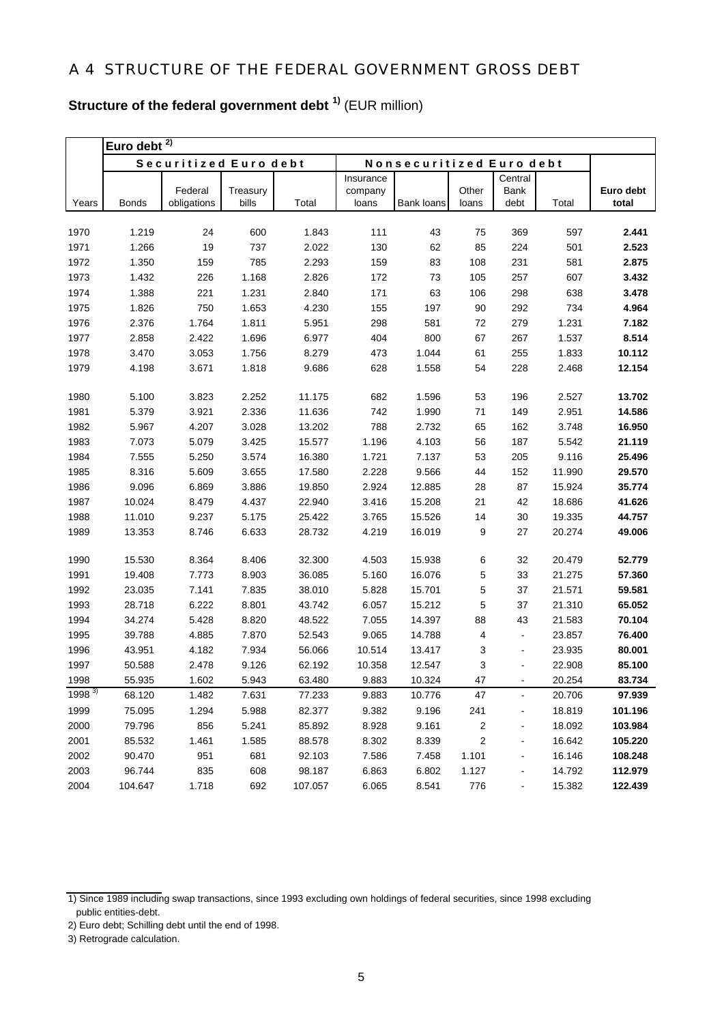**Structure of the federal government debt 1)** (EUR million)

|              | 2)<br>Euro debt  |                        |                   |                  |                  |                                 |                |                |                  |                    |
|--------------|------------------|------------------------|-------------------|------------------|------------------|---------------------------------|----------------|----------------|------------------|--------------------|
|              |                  | Securitized Euro debt  |                   |                  |                  | <b>Nonsecuritized Euro debt</b> |                |                |                  |                    |
|              |                  |                        |                   |                  | Insurance        |                                 |                | Central        |                  |                    |
| Years        | <b>Bonds</b>     | Federal<br>obligations | Treasury<br>bills | Total            | company<br>loans | Bank loans                      | Other<br>loans | Bank<br>debt   | Total            | Euro debt<br>total |
|              |                  |                        |                   |                  |                  |                                 |                |                |                  |                    |
| 1970         | 1.219            | 24                     | 600               | 1.843            | 111              | 43                              | 75             | 369            | 597              | 2.441              |
| 1971         | 1.266            | 19                     | 737               | 2.022            | 130              | 62                              | 85             | 224            | 501              | 2.523              |
| 1972         | 1.350            | 159                    | 785               | 2.293            | 159              | 83                              | 108            | 231            | 581              | 2.875              |
| 1973         | 1.432            | 226                    | 1.168             | 2.826            | 172              | 73                              | 105            | 257            | 607              | 3.432              |
| 1974         | 1.388            | 221                    | 1.231             | 2.840            | 171              | 63                              | 106            | 298            | 638              | 3.478              |
| 1975         | 1.826            | 750                    | 1.653             | 4.230            | 155              | 197                             | 90             | 292            | 734              | 4.964              |
| 1976         | 2.376            | 1.764                  | 1.811             | 5.951            | 298              | 581                             | 72             | 279            | 1.231            | 7.182              |
| 1977         | 2.858            | 2.422                  | 1.696             | 6.977            | 404              | 800                             | 67             | 267            | 1.537            | 8.514              |
| 1978         | 3.470            | 3.053                  | 1.756             | 8.279            | 473              | 1.044                           | 61             | 255            | 1.833            | 10.112             |
| 1979         | 4.198            | 3.671                  | 1.818             | 9.686            | 628              | 1.558                           | 54             | 228            | 2.468            | 12.154             |
|              |                  |                        |                   |                  |                  |                                 |                |                |                  |                    |
| 1980         | 5.100            | 3.823                  | 2.252             | 11.175           | 682              | 1.596                           | 53             | 196            | 2.527            | 13.702             |
| 1981         | 5.379            | 3.921                  | 2.336             | 11.636           | 742              | 1.990                           | 71             | 149            | 2.951            | 14.586             |
| 1982         | 5.967            | 4.207                  | 3.028             | 13.202           | 788              | 2.732                           | 65             | 162            | 3.748            | 16.950             |
| 1983         | 7.073            | 5.079                  | 3.425             | 15.577           | 1.196            | 4.103                           | 56             | 187            | 5.542            | 21.119             |
| 1984         | 7.555            | 5.250                  | 3.574             | 16.380           | 1.721            | 7.137                           | 53             | 205            | 9.116            | 25.496             |
| 1985         | 8.316            | 5.609                  | 3.655             | 17.580           | 2.228            | 9.566                           | 44             | 152            | 11.990           | 29.570             |
| 1986         | 9.096            | 6.869                  | 3.886             | 19.850           | 2.924            | 12.885                          | 28             | 87             | 15.924           | 35.774             |
| 1987         | 10.024           | 8.479                  | 4.437             | 22.940           | 3.416            | 15.208                          | 21             | 42             | 18.686           | 41.626             |
| 1988         | 11.010           | 9.237                  | 5.175             | 25.422           | 3.765            | 15.526                          | 14             | 30             | 19.335           | 44.757             |
| 1989         | 13.353           | 8.746                  | 6.633             | 28.732           | 4.219            | 16.019                          | 9              | 27             | 20.274           | 49.006             |
|              |                  |                        |                   |                  |                  |                                 |                |                |                  |                    |
| 1990         | 15.530           | 8.364                  | 8.406             | 32.300           | 4.503            | 15.938                          | 6<br>5         | 32             | 20.479           | 52.779             |
| 1991         | 19.408           | 7.773                  | 8.903             | 36.085           | 5.160            | 16.076                          | 5              | 33             | 21.275           | 57.360             |
| 1992<br>1993 | 23.035<br>28.718 | 7.141<br>6.222         | 7.835<br>8.801    | 38.010<br>43.742 | 5.828<br>6.057   | 15.701<br>15.212                | 5              | 37<br>37       | 21.571<br>21.310 | 59.581<br>65.052   |
|              | 34.274           |                        |                   |                  |                  |                                 |                |                |                  |                    |
| 1994         |                  | 5.428                  | 8.820             | 48.522           | 7.055            | 14.397                          | 88             | 43             | 21.583           | 70.104             |
| 1995         | 39.788           | 4.885                  | 7.870             | 52.543           | 9.065            | 14.788                          | 4              | $\blacksquare$ | 23.857           | 76.400             |
| 1996         | 43.951           | 4.182                  | 7.934             | 56.066           | 10.514           | 13.417                          | 3              |                | 23.935           | 80.001             |
| 1997         | 50.588           | 2.478                  | 9.126             | 62.192           | 10.358           | 12.547                          | 3              | $\blacksquare$ | 22.908           | 85.100             |
| 1998         | 55.935           | 1.602                  | 5.943             | 63.480           | 9.883            | 10.324                          | 47             |                | 20.254           | 83.734             |
| $1998^{3}$   | 68.120           | 1.482                  | 7.631             | 77.233           | 9.883            | 10.776                          | 47             | ä,             | 20.706           | 97.939             |
| 1999         | 75.095           | 1.294                  | 5.988             | 82.377           | 9.382            | 9.196                           | 241            |                | 18.819           | 101.196            |
| 2000         | 79.796           | 856                    | 5.241             | 85.892           | 8.928            | 9.161                           | 2              |                | 18.092           | 103.984            |
| 2001         | 85.532           | 1.461                  | 1.585             | 88.578           | 8.302            | 8.339                           | 2              | -              | 16.642           | 105.220            |
| 2002         | 90.470           | 951                    | 681               | 92.103           | 7.586            | 7.458                           | 1.101          | -              | 16.146           | 108.248            |
| 2003         | 96.744           | 835                    | 608               | 98.187           | 6.863            | 6.802                           | 1.127          | -              | 14.792           | 112.979            |
| 2004         | 104.647          | 1.718                  | 692               | 107.057          | 6.065            | 8.541                           | 776            | $\frac{1}{2}$  | 15.382           | 122.439            |

<sup>1)</sup> Since 1989 including swap transactions, since 1993 excluding own holdings of federal securities, since 1998 excluding public entities-debt.

<sup>2)</sup> Euro debt; Schilling debt until the end of 1998.

<sup>3)</sup> Retrograde calculation.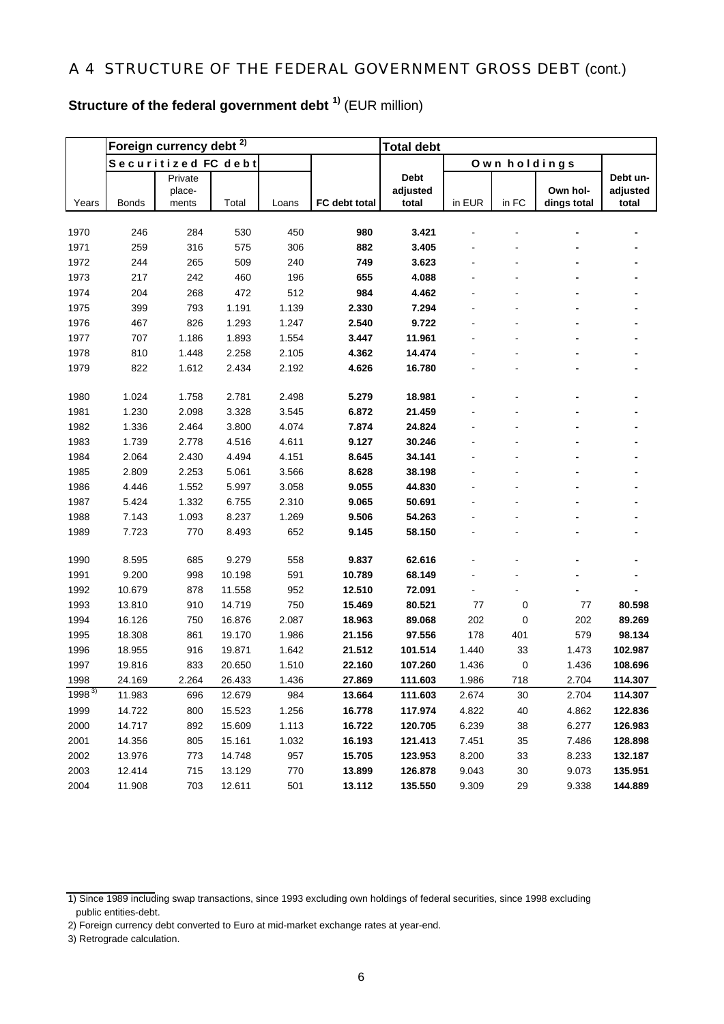# **Structure of the federal government debt 1)** (EUR million)

|              |              | Foreign currency debt <sup>2)</sup> |                |                |                | <b>Total debt</b> |        |              |             |          |
|--------------|--------------|-------------------------------------|----------------|----------------|----------------|-------------------|--------|--------------|-------------|----------|
|              |              | Securitized FC debt                 |                |                |                |                   |        | Own holdings |             |          |
|              |              | Private                             |                |                |                | <b>Debt</b>       |        |              |             | Debt un- |
|              |              | place-                              |                |                |                | adjusted          |        |              | Own hol-    | adjusted |
| Years        | <b>Bonds</b> | ments                               | Total          | Loans          | FC debt total  | total             | in EUR | in FC        | dings total | total    |
|              |              |                                     |                |                | 980            |                   |        |              |             |          |
| 1970         | 246          | 284                                 | 530            | 450            | 882            | 3.421<br>3.405    |        |              |             |          |
| 1971<br>1972 | 259<br>244   | 316<br>265                          | 575<br>509     | 306<br>240     | 749            | 3.623             |        |              |             |          |
| 1973         | 217          | 242                                 | 460            | 196            | 655            | 4.088             |        |              |             |          |
|              |              |                                     |                |                |                |                   |        |              |             |          |
| 1974<br>1975 | 204<br>399   | 268<br>793                          | 472<br>1.191   | 512<br>1.139   | 984<br>2.330   | 4.462<br>7.294    |        |              |             |          |
|              |              |                                     |                |                |                |                   |        |              |             |          |
| 1976<br>1977 | 467<br>707   | 826<br>1.186                        | 1.293<br>1.893 | 1.247<br>1.554 | 2.540<br>3.447 | 9.722<br>11.961   |        |              |             |          |
| 1978         | 810          | 1.448                               | 2.258          | 2.105          | 4.362          | 14.474            |        |              |             |          |
| 1979         | 822          | 1.612                               | 2.434          | 2.192          | 4.626          | 16.780            |        |              |             |          |
|              |              |                                     |                |                |                |                   |        |              |             |          |
| 1980         | 1.024        | 1.758                               | 2.781          | 2.498          | 5.279          | 18.981            |        |              |             |          |
| 1981         | 1.230        | 2.098                               | 3.328          | 3.545          | 6.872          | 21.459            |        |              |             |          |
| 1982         | 1.336        | 2.464                               | 3.800          | 4.074          | 7.874          | 24.824            |        |              |             |          |
| 1983         | 1.739        | 2.778                               | 4.516          | 4.611          | 9.127          | 30.246            |        |              |             |          |
| 1984         | 2.064        | 2.430                               | 4.494          | 4.151          | 8.645          | 34.141            |        |              |             |          |
| 1985         | 2.809        | 2.253                               | 5.061          | 3.566          | 8.628          | 38.198            |        |              |             |          |
| 1986         | 4.446        | 1.552                               | 5.997          | 3.058          | 9.055          | 44.830            |        |              |             |          |
| 1987         | 5.424        | 1.332                               | 6.755          | 2.310          | 9.065          | 50.691            |        |              |             |          |
| 1988         | 7.143        | 1.093                               | 8.237          | 1.269          | 9.506          | 54.263            |        |              |             |          |
| 1989         | 7.723        | 770                                 | 8.493          | 652            | 9.145          | 58.150            |        |              |             |          |
|              |              |                                     |                |                |                |                   |        |              |             |          |
| 1990         | 8.595        | 685                                 | 9.279          | 558            | 9.837          | 62.616            |        |              |             |          |
| 1991         | 9.200        | 998                                 | 10.198         | 591            | 10.789         | 68.149            |        |              |             |          |
| 1992         | 10.679       | 878                                 | 11.558         | 952            | 12.510         | 72.091            |        |              |             |          |
| 1993         | 13.810       | 910                                 | 14.719         | 750            | 15.469         | 80.521            | 77     | 0            | 77          | 80.598   |
| 1994         | 16.126       | 750                                 | 16.876         | 2.087          | 18.963         | 89.068            | 202    | 0            | 202         | 89.269   |
| 1995         | 18.308       | 861                                 | 19.170         | 1.986          | 21.156         | 97.556            | 178    | 401          | 579         | 98.134   |
| 1996         | 18.955       | 916                                 | 19.871         | 1.642          | 21.512         | 101.514           | 1.440  | 33           | 1.473       | 102.987  |
| 1997         | 19.816       | 833                                 | 20.650         | 1.510          | 22.160         | 107.260           | 1.436  | 0            | 1.436       | 108.696  |
| 1998         | 24.169       | 2.264                               | 26.433         | 1.436          | 27.869         | 111.603           | 1.986  | 718          | 2.704       | 114.307  |
| $1998^{3}$   | 11.983       | 696                                 | 12.679         | 984            | 13.664         | 111.603           | 2.674  | 30           | 2.704       | 114.307  |
| 1999         | 14.722       | 800                                 | 15.523         | 1.256          | 16.778         | 117.974           | 4.822  | 40           | 4.862       | 122.836  |
| 2000         | 14.717       | 892                                 | 15.609         | 1.113          | 16.722         | 120.705           | 6.239  | 38           | 6.277       | 126.983  |
| 2001         | 14.356       | 805                                 | 15.161         | 1.032          | 16.193         | 121.413           | 7.451  | 35           | 7.486       | 128.898  |
| 2002         | 13.976       | 773                                 | 14.748         | 957            | 15.705         | 123.953           | 8.200  | 33           | 8.233       | 132.187  |
| 2003         | 12.414       | 715                                 | 13.129         | 770            | 13.899         | 126.878           | 9.043  | 30           | 9.073       | 135.951  |
| 2004         | 11.908       | 703                                 | 12.611         | 501            | 13.112         | 135.550           | 9.309  | 29           | 9.338       | 144.889  |

<sup>1)</sup> Since 1989 including swap transactions, since 1993 excluding own holdings of federal securities, since 1998 excluding public entities-debt.

<sup>2)</sup> Foreign currency debt converted to Euro at mid-market exchange rates at year-end.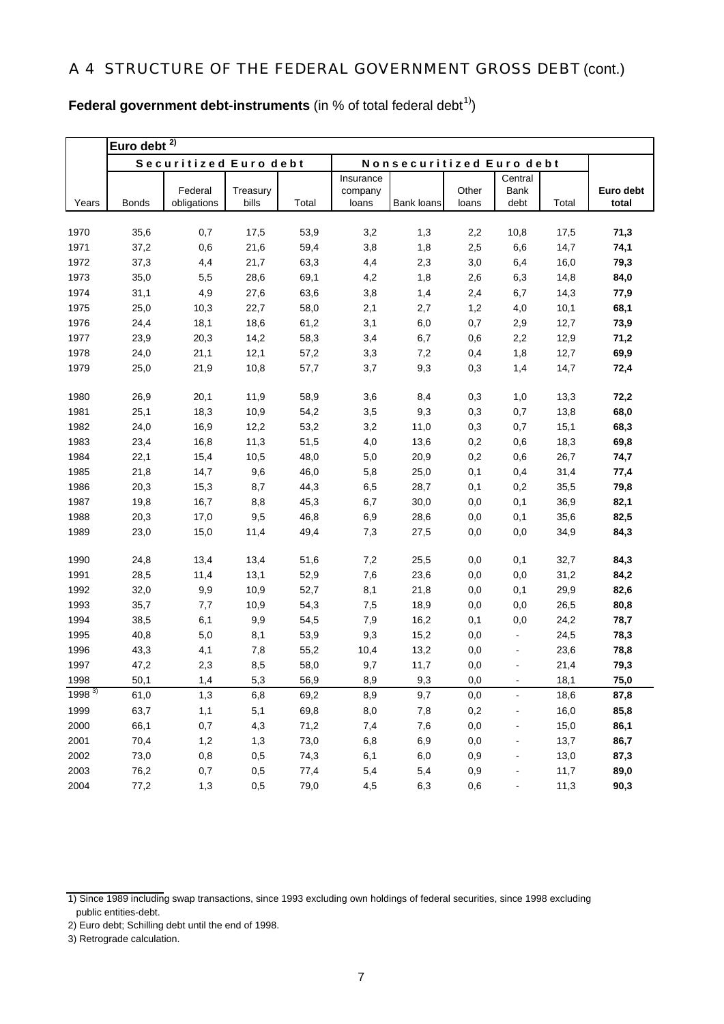**Euro debt total**

**Euro debt 2)** Years Bonds Federal obligations **Treasury** bills Total **Insurance** company loans Bank loans **Other** loans **Central** Bank debt Total 1970 35,6 0,7 17,5 53,9 3,2 1,3 2,2 10,8 17,5 **71,3**  1971 37,2 0,6 21,6 59,4 3,8 1,8 2,5 6,6 14,7 **74,1**  1972 37,3 4,4 21,7 63,3 4,4 2,3 3,0 6,4 16,0 **79,3**  1973 35,0 5,5 28,6 69,1 4,2 1,8 2,6 6,3 14,8 **84,0**  1974 31,1 4,9 27,6 63,6 3,8 1,4 2,4 6,7 14,3 **77,9**  1975 25,0 10,3 22,7 58,0 2,1 2,7 1,2 4,0 10,1 **68,1**  1976 24,4 18,1 18,6 61,2 3,1 6,0 0,7 2,9 12,7 **73,9**  Securitized Euro debt | Nonsecuritized Euro debt

**Federal government debt-instruments** (in % of total federal debt<sup>1)</sup>)

| 1910      | 24,4 | 18,1 | 18,6 | 61,Z | 3,1  | b,U  | U, I | z,9                      | 12,7 | 73,9 |
|-----------|------|------|------|------|------|------|------|--------------------------|------|------|
| 1977      | 23,9 | 20,3 | 14,2 | 58,3 | 3,4  | 6,7  | 0,6  | 2,2                      | 12,9 | 71,2 |
| 1978      | 24,0 | 21,1 | 12,1 | 57,2 | 3,3  | 7,2  | 0,4  | 1,8                      | 12,7 | 69,9 |
| 1979      | 25,0 | 21,9 | 10,8 | 57,7 | 3,7  | 9,3  | 0,3  | 1,4                      | 14,7 | 72,4 |
| 1980      | 26,9 | 20,1 | 11,9 | 58,9 | 3,6  | 8,4  | 0,3  | 1,0                      | 13,3 | 72,2 |
| 1981      | 25,1 | 18,3 | 10,9 | 54,2 | 3,5  | 9,3  | 0,3  | 0,7                      | 13,8 | 68,0 |
| 1982      | 24,0 | 16,9 | 12,2 | 53,2 | 3,2  | 11,0 | 0,3  | 0,7                      | 15,1 | 68,3 |
| 1983      | 23,4 | 16,8 | 11,3 | 51,5 | 4,0  | 13,6 | 0,2  | 0,6                      | 18,3 | 69,8 |
| 1984      | 22,1 | 15,4 | 10,5 | 48,0 | 5,0  | 20,9 | 0,2  | 0,6                      | 26,7 | 74,7 |
| 1985      | 21,8 | 14,7 | 9,6  | 46,0 | 5,8  | 25,0 | 0,1  | 0,4                      | 31,4 | 77,4 |
| 1986      | 20,3 | 15,3 | 8,7  | 44,3 | 6,5  | 28,7 | 0,1  | 0,2                      | 35,5 | 79,8 |
| 1987      | 19,8 | 16,7 | 8,8  | 45,3 | 6,7  | 30,0 | 0,0  | 0,1                      | 36,9 | 82,1 |
| 1988      | 20,3 | 17,0 | 9,5  | 46,8 | 6,9  | 28,6 | 0,0  | 0,1                      | 35,6 | 82,5 |
| 1989      | 23,0 | 15,0 | 11,4 | 49,4 | 7,3  | 27,5 | 0,0  | 0,0                      | 34,9 | 84,3 |
| 1990      | 24,8 | 13,4 | 13,4 | 51,6 | 7,2  | 25,5 | 0,0  | 0,1                      | 32,7 | 84,3 |
| 1991      | 28,5 | 11,4 | 13,1 | 52,9 | 7,6  | 23,6 | 0,0  | 0,0                      | 31,2 | 84,2 |
| 1992      | 32,0 | 9,9  | 10,9 | 52,7 | 8,1  | 21,8 | 0,0  | 0,1                      | 29,9 | 82,6 |
| 1993      | 35,7 | 7,7  | 10,9 | 54,3 | 7,5  | 18,9 | 0,0  | 0,0                      | 26,5 | 80,8 |
| 1994      | 38,5 | 6,1  | 9,9  | 54,5 | 7,9  | 16,2 | 0,1  | 0,0                      | 24,2 | 78,7 |
| 1995      | 40,8 | 5,0  | 8,1  | 53,9 | 9,3  | 15,2 | 0,0  | $\blacksquare$           | 24,5 | 78,3 |
| 1996      | 43,3 | 4,1  | 7,8  | 55,2 | 10,4 | 13,2 | 0,0  | $\blacksquare$           | 23,6 | 78,8 |
| 1997      | 47,2 | 2,3  | 8,5  | 58,0 | 9,7  | 11,7 | 0,0  | $\blacksquare$           | 21,4 | 79,3 |
| 1998      | 50,1 | 1,4  | 5,3  | 56,9 | 8,9  | 9,3  | 0,0  | $\blacksquare$           | 18,1 | 75,0 |
| 1998 $3)$ | 61,0 | 1,3  | 6,8  | 69,2 | 8,9  | 9,7  | 0,0  | $\blacksquare$           | 18,6 | 87,8 |
| 1999      | 63,7 | 1,1  | 5,1  | 69,8 | 8,0  | 7,8  | 0,2  | $\blacksquare$           | 16,0 | 85,8 |
| 2000      | 66,1 | 0,7  | 4,3  | 71,2 | 7,4  | 7,6  | 0,0  | $\overline{\phantom{a}}$ | 15,0 | 86,1 |
| 2001      | 70,4 | 1,2  | 1,3  | 73,0 | 6,8  | 6,9  | 0,0  | $\blacksquare$           | 13,7 | 86,7 |
| 2002      | 73,0 | 0,8  | 0,5  | 74,3 | 6,1  | 6,0  | 0,9  |                          | 13,0 | 87,3 |
| 2003      | 76,2 | 0,7  | 0,5  | 77,4 | 5,4  | 5,4  | 0,9  | ÷,                       | 11,7 | 89,0 |
| 2004      | 77,2 | 1,3  | 0,5  | 79,0 | 4.5  | 6,3  | 0,6  |                          | 11,3 | 90,3 |

<sup>1)</sup> Since 1989 including swap transactions, since 1993 excluding own holdings of federal securities, since 1998 excluding public entities-debt.

<sup>2)</sup> Euro debt; Schilling debt until the end of 1998.

<sup>3)</sup> Retrograde calculation.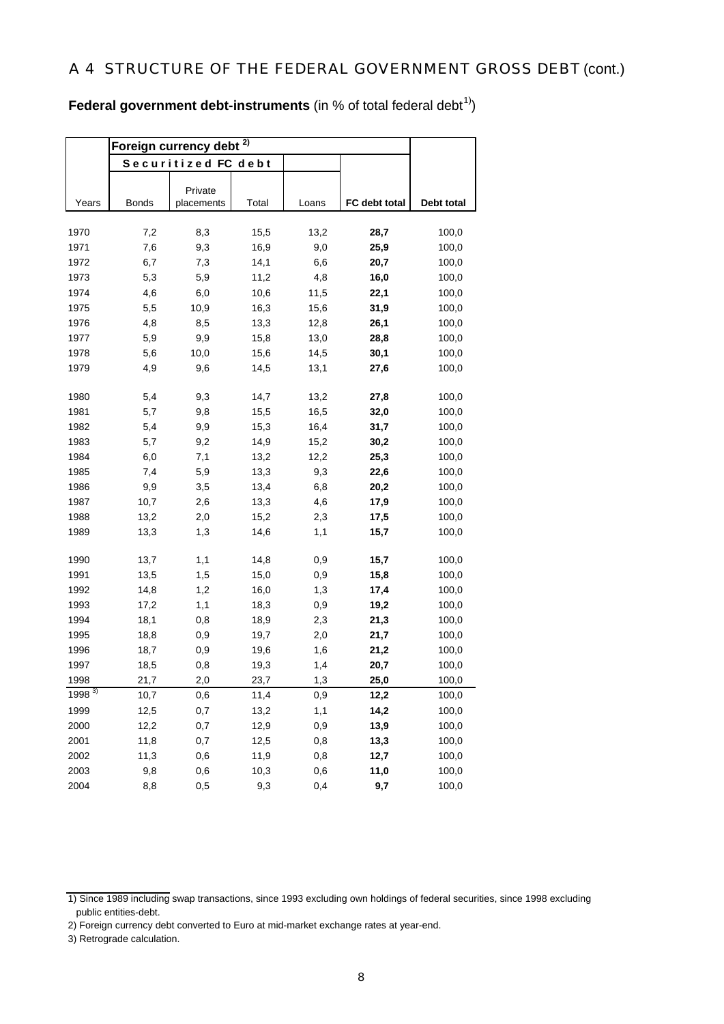**Federal government debt-instruments** (in % of total federal debt<sup>1)</sup>)

|              | Foreign currency debt |                     |              |            |               |                |
|--------------|-----------------------|---------------------|--------------|------------|---------------|----------------|
|              |                       | Securitized FC debt |              |            |               |                |
|              |                       |                     |              |            |               |                |
|              | <b>Bonds</b>          | Private             | Total        |            |               |                |
| Years        |                       | placements          |              | Loans      | FC debt total | Debt total     |
| 1970         | 7,2                   | 8,3                 | 15,5         | 13,2       | 28,7          | 100,0          |
| 1971         | 7,6                   | 9,3                 | 16,9         | 9,0        | 25,9          | 100,0          |
| 1972         | 6,7                   | 7,3                 | 14,1         | 6,6        | 20,7          | 100,0          |
| 1973         | 5,3                   | 5,9                 | 11,2         | 4,8        | 16,0          | 100,0          |
| 1974         | 4,6                   | 6,0                 | 10,6         | 11,5       | 22,1          | 100,0          |
| 1975         | 5,5                   | 10,9                | 16,3         | 15,6       | 31,9          | 100,0          |
| 1976         | 4,8                   | 8,5                 | 13,3         | 12,8       | 26,1          | 100,0          |
| 1977         | 5,9                   | 9,9                 | 15,8         | 13,0       | 28,8          | 100,0          |
| 1978         | 5,6                   | 10,0                | 15,6         | 14,5       | 30,1          | 100,0          |
| 1979         | 4,9                   | 9,6                 | 14,5         | 13,1       | 27,6          | 100,0          |
|              |                       |                     |              |            |               |                |
| 1980         | 5,4                   | 9,3                 | 14,7         | 13,2       | 27,8          | 100,0          |
| 1981         | 5,7                   | 9,8                 | 15,5         | 16,5       | 32,0          | 100,0          |
| 1982         | 5,4                   | 9,9                 | 15,3         | 16,4       | 31,7          | 100,0          |
| 1983         | 5,7                   | 9,2                 | 14,9         | 15,2       | 30,2          | 100,0          |
| 1984         | 6,0                   | 7,1                 | 13,2         | 12,2       | 25,3          | 100,0          |
| 1985         | 7,4                   | 5,9                 | 13,3         | 9,3        | 22,6          | 100,0          |
| 1986         | 9,9                   | 3,5                 | 13,4         | 6,8        | 20,2          | 100,0          |
| 1987         | 10,7                  | 2,6                 | 13,3         | 4,6        | 17,9          | 100,0          |
| 1988         | 13,2                  | 2,0                 | 15,2         | 2,3        | 17,5          | 100,0          |
| 1989         | 13,3                  | 1,3                 | 14,6         | 1,1        | 15,7          | 100,0          |
|              |                       |                     |              |            |               |                |
| 1990<br>1991 | 13,7<br>13,5          | 1,1<br>1,5          | 14,8<br>15,0 | 0,9<br>0,9 | 15,7<br>15,8  | 100,0<br>100,0 |
| 1992         | 14,8                  | 1,2                 | 16,0         | 1,3        | 17,4          | 100,0          |
| 1993         | 17,2                  | 1,1                 | 18,3         | 0,9        | 19,2          | 100,0          |
| 1994         | 18,1                  | 0,8                 | 18,9         | 2,3        | 21,3          | 100,0          |
| 1995         | 18,8                  | 0,9                 | 19,7         | 2,0        | 21,7          | 100,0          |
| 1996         | 18,7                  | 0,9                 | 19,6         | 1,6        | 21,2          | 100,0          |
| 1997         | 18,5                  | 0,8                 | 19,3         | 1,4        | 20,7          | 100,0          |
| 1998         | 21,7                  | 2,0                 | 23,7         | 1,3        | 25,0          | 100,0          |
| 1998 $3)$    | 10,7                  | 0,6                 | 11,4         | 0,9        | 12,2          | 100,0          |
| 1999         | 12,5                  | 0,7                 | 13,2         | 1,1        | 14,2          | 100,0          |
| 2000         | 12,2                  | 0,7                 | 12,9         | 0,9        | 13,9          | 100,0          |
| 2001         | 11,8                  | 0,7                 | 12,5         | 0,8        | 13,3          | 100,0          |
| 2002         | 11,3                  | 0,6                 | 11,9         | 0,8        | 12,7          | 100,0          |
| 2003         | 9,8                   | 0,6                 | 10,3         | 0,6        | 11,0          | 100,0          |
| 2004         | 8,8                   | 0,5                 | 9,3          | 0,4        | 9,7           | 100,0          |

<sup>1)</sup> Since 1989 including swap transactions, since 1993 excluding own holdings of federal securities, since 1998 excluding public entities-debt.

<sup>2)</sup> Foreign currency debt converted to Euro at mid-market exchange rates at year-end.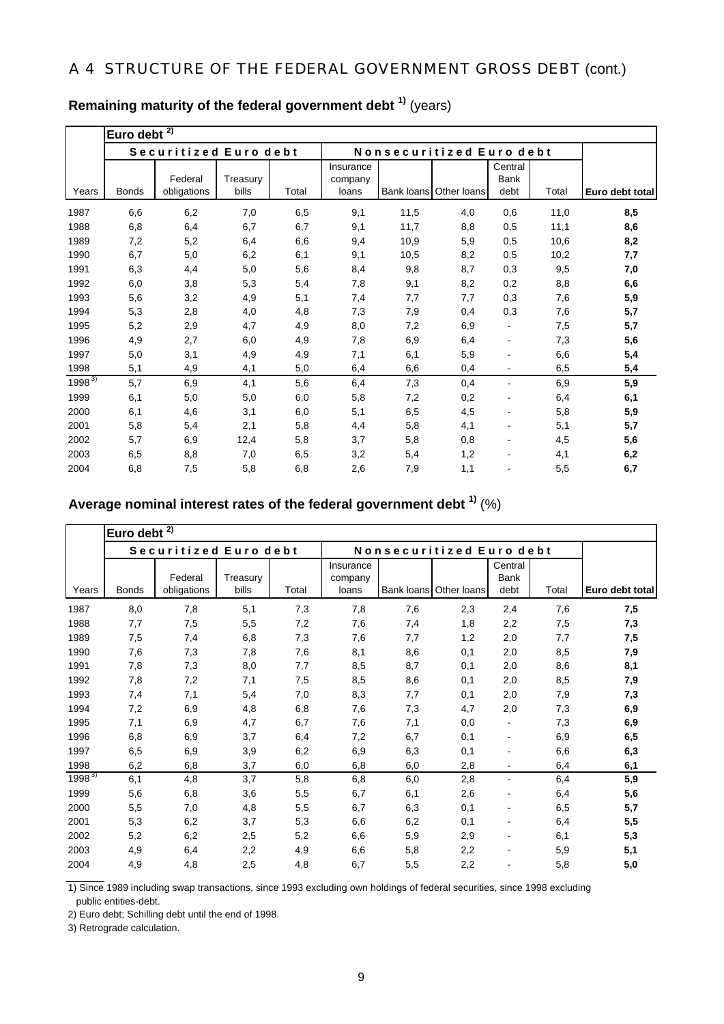|            | Euro debt $^{2)}$ |                        |                   |       |                               |      |                          |                                |       |                 |
|------------|-------------------|------------------------|-------------------|-------|-------------------------------|------|--------------------------|--------------------------------|-------|-----------------|
|            |                   | Securitized Euro debt  |                   |       |                               |      | Nonsecuritized Euro debt |                                |       |                 |
| Years      | <b>Bonds</b>      | Federal<br>obligations | Treasury<br>bills | Total | Insurance<br>company<br>loans |      | Bank loans Other loans   | Central<br><b>Bank</b><br>debt | Total | Euro debt total |
| 1987       | 6,6               | 6,2                    | 7,0               | 6,5   | 9,1                           | 11,5 | 4,0                      | 0,6                            | 11,0  | 8,5             |
| 1988       | 6,8               | 6,4                    | 6,7               | 6,7   | 9,1                           | 11,7 | 8,8                      | 0,5                            | 11,1  | 8,6             |
| 1989       | 7,2               | 5,2                    | 6,4               | 6,6   | 9,4                           | 10,9 | 5,9                      | 0,5                            | 10,6  | 8,2             |
| 1990       | 6,7               | 5,0                    | 6,2               | 6,1   | 9,1                           | 10,5 | 8,2                      | 0,5                            | 10,2  | 7,7             |
| 1991       | 6,3               | 4,4                    | 5,0               | 5,6   | 8,4                           | 9,8  | 8,7                      | 0,3                            | 9,5   | 7,0             |
| 1992       | 6,0               | 3,8                    | 5,3               | 5,4   | 7,8                           | 9,1  | 8,2                      | 0,2                            | 8,8   | 6,6             |
| 1993       | 5,6               | 3,2                    | 4,9               | 5,1   | 7,4                           | 7,7  | 7,7                      | 0,3                            | 7,6   | 5,9             |
| 1994       | 5,3               | 2,8                    | 4,0               | 4,8   | 7,3                           | 7,9  | 0,4                      | 0,3                            | 7,6   | 5,7             |
| 1995       | 5,2               | 2,9                    | 4,7               | 4,9   | 8,0                           | 7,2  | 6,9                      |                                | 7,5   | 5,7             |
| 1996       | 4,9               | 2,7                    | 6,0               | 4,9   | 7,8                           | 6,9  | 6,4                      |                                | 7,3   | 5,6             |
| 1997       | 5,0               | 3,1                    | 4,9               | 4,9   | 7,1                           | 6,1  | 5,9                      |                                | 6,6   | 5,4             |
| 1998       | 5,1               | 4,9                    | 4,1               | 5,0   | 6,4                           | 6,6  | 0,4                      | $\overline{\phantom{a}}$       | 6,5   | 5,4             |
| $1998^{3}$ | 5,7               | 6,9                    | 4,1               | 5,6   | 6,4                           | 7,3  | 0,4                      | $\overline{\phantom{a}}$       | 6,9   | 5,9             |
| 1999       | 6,1               | 5,0                    | 5,0               | 6,0   | 5,8                           | 7,2  | 0,2                      |                                | 6,4   | 6,1             |
| 2000       | 6,1               | 4,6                    | 3,1               | 6,0   | 5,1                           | 6,5  | 4,5                      |                                | 5,8   | 5,9             |
| 2001       | 5,8               | 5,4                    | 2,1               | 5,8   | 4,4                           | 5,8  | 4,1                      |                                | 5,1   | 5,7             |
| 2002       | 5,7               | 6,9                    | 12,4              | 5,8   | 3,7                           | 5,8  | 0,8                      |                                | 4,5   | 5,6             |
| 2003       | 6,5               | 8,8                    | 7,0               | 6,5   | 3,2                           | 5,4  | 1,2                      |                                | 4,1   | 6,2             |
| 2004       | 6,8               | 7,5                    | 5,8               | 6,8   | 2,6                           | 7,9  | 1,1                      |                                | 5,5   | 6,7             |

# **Remaining maturity of the federal government debt 1)** (years)

## **Average nominal interest rates of the federal government debt 1)** (%)

|            | 2)<br>Euro debt |                        |                   |       |                               |            |                          |                         |       |                 |  |  |
|------------|-----------------|------------------------|-------------------|-------|-------------------------------|------------|--------------------------|-------------------------|-------|-----------------|--|--|
|            |                 | Securitized Euro debt  |                   |       |                               |            | Nonsecuritized Euro debt |                         |       |                 |  |  |
| Years      | <b>Bonds</b>    | Federal<br>obligations | Treasury<br>bills | Total | Insurance<br>company<br>loans | Bank loans | Other loans              | Central<br>Bank<br>debt | Total | Euro debt total |  |  |
| 1987       | 8,0             | 7,8                    | 5,1               | 7,3   | 7,8                           | 7,6        | 2,3                      | 2,4                     | 7,6   | 7,5             |  |  |
| 1988       | 7,7             | 7,5                    | 5,5               | 7,2   | 7,6                           | 7,4        | 1,8                      | 2,2                     | 7,5   | 7,3             |  |  |
| 1989       | 7,5             | 7,4                    | 6,8               | 7,3   | 7,6                           | 7,7        | 1,2                      | 2,0                     | 7,7   | 7,5             |  |  |
| 1990       | 7,6             | 7,3                    | 7,8               | 7,6   | 8,1                           | 8,6        | 0,1                      | 2,0                     | 8,5   | 7,9             |  |  |
| 1991       | 7,8             | 7,3                    | 8,0               | 7,7   | 8,5                           | 8,7        | 0,1                      | 2,0                     | 8,6   | 8,1             |  |  |
| 1992       | 7,8             | 7,2                    | 7,1               | 7,5   | 8,5                           | 8,6        | 0,1                      | 2,0                     | 8,5   | 7,9             |  |  |
| 1993       | 7,4             | 7,1                    | 5,4               | 7,0   | 8,3                           | 7,7        | 0,1                      | 2,0                     | 7,9   | 7,3             |  |  |
| 1994       | 7,2             | 6,9                    | 4,8               | 6,8   | 7,6                           | 7,3        | 4,7                      | 2,0                     | 7,3   | 6,9             |  |  |
| 1995       | 7,1             | 6,9                    | 4,7               | 6,7   | 7,6                           | 7,1        | 0,0                      |                         | 7,3   | 6,9             |  |  |
| 1996       | 6,8             | 6,9                    | 3,7               | 6,4   | 7,2                           | 6,7        | 0,1                      |                         | 6,9   | 6,5             |  |  |
| 1997       | 6,5             | 6,9                    | 3,9               | 6,2   | 6,9                           | 6,3        | 0,1                      |                         | 6,6   | 6,3             |  |  |
| 1998       | 6,2             | 6,8                    | 3,7               | 6,0   | 6,8                           | 6,0        | 2,8                      |                         | 6,4   | 6,1             |  |  |
| $1998^{3}$ | 6,1             | 4,8                    | 3,7               | 5,8   | 6,8                           | 6,0        | 2,8                      | $\blacksquare$          | 6,4   | 5,9             |  |  |
| 1999       | 5,6             | 6,8                    | 3,6               | 5,5   | 6,7                           | 6,1        | 2,6                      |                         | 6,4   | 5,6             |  |  |
| 2000       | 5,5             | 7,0                    | 4,8               | 5,5   | 6,7                           | 6,3        | 0,1                      |                         | 6,5   | 5,7             |  |  |
| 2001       | 5,3             | 6,2                    | 3,7               | 5,3   | 6,6                           | 6,2        | 0,1                      |                         | 6,4   | 5,5             |  |  |
| 2002       | 5,2             | 6,2                    | 2,5               | 5,2   | 6,6                           | 5,9        | 2,9                      |                         | 6,1   | 5,3             |  |  |
| 2003       | 4,9             | 6,4                    | 2,2               | 4,9   | 6,6                           | 5,8        | 2,2                      |                         | 5,9   | 5,1             |  |  |
| 2004       | 4,9             | 4,8                    | 2,5               | 4,8   | 6,7                           | 5,5        | 2,2                      |                         | 5,8   | 5,0             |  |  |

1) Since 1989 including swap transactions, since 1993 excluding own holdings of federal securities, since 1998 excluding public entities-debt.

2) Euro debt; Schilling debt until the end of 1998.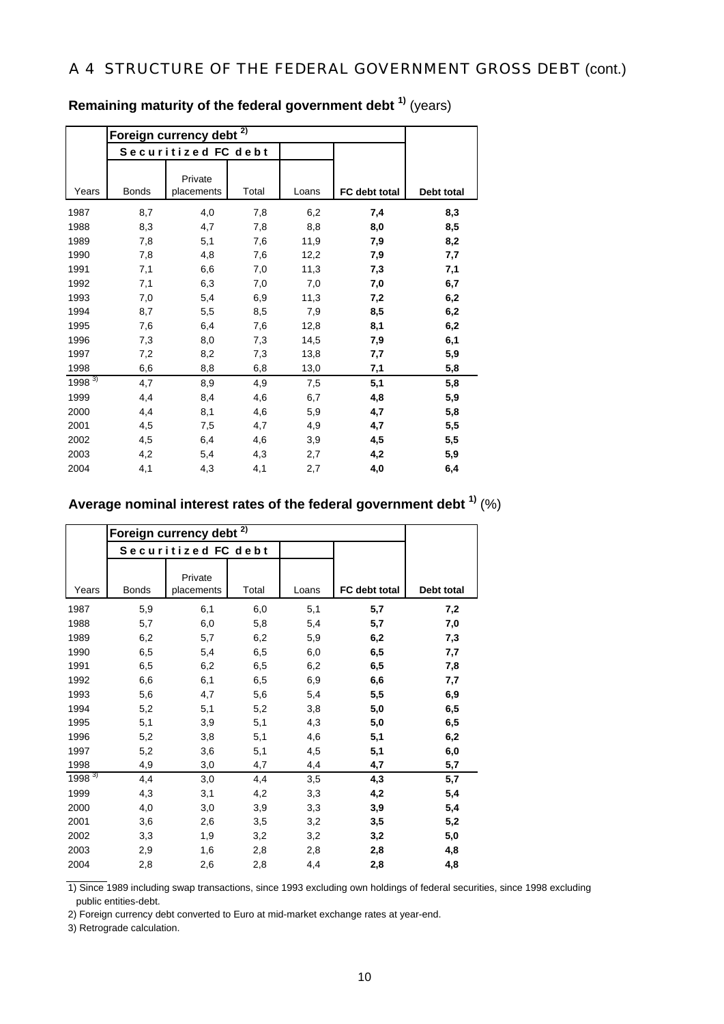|            |              | Securitized FC debt   |       |       |               |            |
|------------|--------------|-----------------------|-------|-------|---------------|------------|
| Years      | <b>Bonds</b> | Private<br>placements | Total | Loans | FC debt total | Debt total |
| 1987       | 8,7          | 4,0                   | 7,8   | 6,2   | 7,4           | 8,3        |
| 1988       | 8,3          | 4,7                   | 7,8   | 8,8   | 8,0           | 8,5        |
| 1989       | 7,8          | 5,1                   | 7,6   | 11,9  | 7,9           | 8,2        |
| 1990       | 7,8          | 4,8                   | 7,6   | 12,2  | 7,9           | 7,7        |
| 1991       | 7,1          | 6,6                   | 7,0   | 11,3  | 7,3           | 7,1        |
| 1992       | 7,1          | 6,3                   | 7,0   | 7,0   | 7,0           | 6,7        |
| 1993       | 7,0          | 5,4                   | 6,9   | 11,3  | 7,2           | 6,2        |
| 1994       | 8,7          | 5,5                   | 8,5   | 7,9   | 8,5           | 6,2        |
| 1995       | 7,6          | 6,4                   | 7,6   | 12,8  | 8,1           | 6,2        |
| 1996       | 7,3          | 8,0                   | 7,3   | 14,5  | 7,9           | 6,1        |
| 1997       | 7,2          | 8,2                   | 7,3   | 13,8  | 7,7           | 5,9        |
| 1998       | 6,6          | 8,8                   | 6,8   | 13,0  | 7,1           | 5,8        |
| $1998^{3}$ | 4,7          | 8,9                   | 4,9   | 7,5   | 5,1           | 5,8        |
| 1999       | 4,4          | 8,4                   | 4,6   | 6,7   | 4,8           | 5,9        |
| 2000       | 4,4          | 8,1                   | 4,6   | 5,9   | 4,7           | 5,8        |
| 2001       | 4,5          | 7,5                   | 4,7   | 4,9   | 4,7           | 5,5        |
| 2002       | 4,5          | 6,4                   | 4,6   | 3,9   | 4,5           | 5,5        |
| 2003       | 4,2          | 5,4                   | 4,3   | 2,7   | 4,2           | 5,9        |
| 2004       | 4,1          | 4,3                   | 4,1   | 2,7   | 4,0           | 6,4        |

**Remaining maturity of the federal government debt 1)** (years)

# **Average nominal interest rates of the federal government debt 1)** (%)

|            | Foreign currency debt <sup>2)</sup> |                       |       |       |               |            |  |  |  |
|------------|-------------------------------------|-----------------------|-------|-------|---------------|------------|--|--|--|
|            |                                     | Securitized FC debt   |       |       |               |            |  |  |  |
| Years      | <b>Bonds</b>                        | Private<br>placements | Total | Loans | FC debt total | Debt total |  |  |  |
| 1987       | 5,9                                 | 6,1                   | 6,0   | 5,1   | 5,7           | 7,2        |  |  |  |
| 1988       | 5,7                                 | 6,0                   | 5,8   | 5,4   | 5,7           | 7,0        |  |  |  |
| 1989       | 6,2                                 | 5,7                   | 6,2   | 5,9   | 6,2           | 7,3        |  |  |  |
| 1990       | 6,5                                 | 5,4                   | 6,5   | 6,0   | 6,5           | 7,7        |  |  |  |
| 1991       | 6,5                                 | 6,2                   | 6,5   | 6,2   | 6,5           | 7,8        |  |  |  |
| 1992       | 6,6                                 | 6,1                   | 6,5   | 6,9   | 6,6           | 7,7        |  |  |  |
| 1993       | 5,6                                 | 4,7                   | 5,6   | 5,4   | 5,5           | 6,9        |  |  |  |
| 1994       | 5,2                                 | 5,1                   | 5,2   | 3,8   | 5,0           | 6,5        |  |  |  |
| 1995       | 5,1                                 | 3,9                   | 5,1   | 4,3   | 5,0           | 6,5        |  |  |  |
| 1996       | 5,2                                 | 3,8                   | 5,1   | 4,6   | 5,1           | 6,2        |  |  |  |
| 1997       | 5,2                                 | 3,6                   | 5,1   | 4,5   | 5,1           | 6,0        |  |  |  |
| 1998       | 4,9                                 | 3,0                   | 4,7   | 4,4   | 4,7           | 5,7        |  |  |  |
| $1998^{3}$ | 4,4                                 | 3,0                   | 4,4   | 3,5   | 4,3           | 5,7        |  |  |  |
| 1999       | 4,3                                 | 3,1                   | 4,2   | 3,3   | 4,2           | 5,4        |  |  |  |
| 2000       | 4,0                                 | 3,0                   | 3,9   | 3,3   | 3,9           | 5,4        |  |  |  |
| 2001       | 3,6                                 | 2,6                   | 3,5   | 3,2   | 3,5           | 5,2        |  |  |  |
| 2002       | 3,3                                 | 1,9                   | 3,2   | 3,2   | 3,2           | 5,0        |  |  |  |
| 2003       | 2,9                                 | 1,6                   | 2,8   | 2,8   | 2,8           | 4,8        |  |  |  |
| 2004       | 2,8                                 | 2,6                   | 2,8   | 4,4   | 2,8           | 4,8        |  |  |  |

1) Since 1989 including swap transactions, since 1993 excluding own holdings of federal securities, since 1998 excluding public entities-debt.

2) Foreign currency debt converted to Euro at mid-market exchange rates at year-end.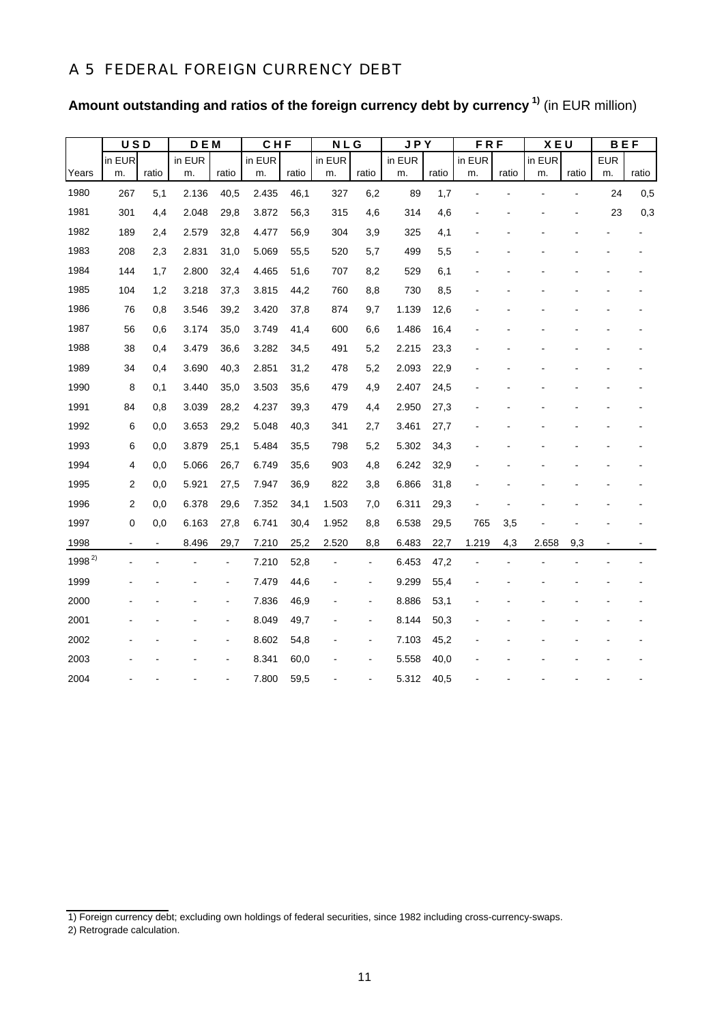## A 5 FEDERAL FOREIGN CURRENCY DEBT

| Amount outstanding and ratios of the foreign currency debt by currency <sup>1)</sup> (in EUR million) |  |  |  |  |
|-------------------------------------------------------------------------------------------------------|--|--|--|--|
|-------------------------------------------------------------------------------------------------------|--|--|--|--|

|            | <b>USD</b>              |       | DEM    |                | CHF    |       | <b>NLG</b> |                | <b>JPY</b> |       | <b>FRF</b> |       | <b>XEU</b> |       | <b>BEF</b> |       |
|------------|-------------------------|-------|--------|----------------|--------|-------|------------|----------------|------------|-------|------------|-------|------------|-------|------------|-------|
|            | in EUR                  |       | in EUR |                | in EUR |       | in EUR     |                | in EUR     |       | in EUR     |       | in EUR     |       | <b>EUR</b> |       |
| Years      | m.                      | ratio | m.     | ratio          | m.     | ratio | m.         | ratio          | m.         | ratio | m.         | ratio | m.         | ratio | m.         | ratio |
| 1980       | 267                     | 5,1   | 2.136  | 40,5           | 2.435  | 46,1  | 327        | 6,2            | 89         | 1,7   |            |       |            |       | 24         | 0,5   |
| 1981       | 301                     | 4,4   | 2.048  | 29,8           | 3.872  | 56,3  | 315        | 4,6            | 314        | 4,6   |            |       |            |       | 23         | 0,3   |
| 1982       | 189                     | 2,4   | 2.579  | 32,8           | 4.477  | 56,9  | 304        | 3,9            | 325        | 4,1   |            |       |            |       |            |       |
| 1983       | 208                     | 2,3   | 2.831  | 31,0           | 5.069  | 55,5  | 520        | 5,7            | 499        | 5,5   |            |       |            |       |            |       |
| 1984       | 144                     | 1,7   | 2.800  | 32,4           | 4.465  | 51,6  | 707        | 8,2            | 529        | 6,1   |            |       |            |       |            |       |
| 1985       | 104                     | 1,2   | 3.218  | 37,3           | 3.815  | 44,2  | 760        | 8,8            | 730        | 8,5   |            |       |            |       |            |       |
| 1986       | 76                      | 0,8   | 3.546  | 39,2           | 3.420  | 37,8  | 874        | 9,7            | 1.139      | 12,6  |            |       |            |       |            |       |
| 1987       | 56                      | 0,6   | 3.174  | 35,0           | 3.749  | 41,4  | 600        | 6,6            | 1.486      | 16,4  |            |       |            |       |            |       |
| 1988       | 38                      | 0,4   | 3.479  | 36,6           | 3.282  | 34,5  | 491        | 5,2            | 2.215      | 23,3  |            |       |            |       |            |       |
| 1989       | 34                      | 0,4   | 3.690  | 40,3           | 2.851  | 31,2  | 478        | 5,2            | 2.093      | 22,9  |            |       |            |       |            |       |
| 1990       | 8                       | 0,1   | 3.440  | 35,0           | 3.503  | 35,6  | 479        | 4,9            | 2.407      | 24,5  |            |       |            |       |            |       |
| 1991       | 84                      | 0,8   | 3.039  | 28,2           | 4.237  | 39,3  | 479        | 4,4            | 2.950      | 27,3  |            |       |            |       |            |       |
| 1992       | 6                       | 0,0   | 3.653  | 29,2           | 5.048  | 40,3  | 341        | 2,7            | 3.461      | 27,7  |            |       |            |       |            |       |
| 1993       | 6                       | 0,0   | 3.879  | 25,1           | 5.484  | 35,5  | 798        | 5,2            | 5.302      | 34,3  |            |       |            |       |            |       |
| 1994       | 4                       | 0,0   | 5.066  | 26,7           | 6.749  | 35,6  | 903        | 4,8            | 6.242      | 32,9  |            |       |            |       |            |       |
| 1995       | $\overline{\mathbf{c}}$ | 0,0   | 5.921  | 27,5           | 7.947  | 36,9  | 822        | 3,8            | 6.866      | 31,8  |            |       |            |       |            |       |
| 1996       | 2                       | 0,0   | 6.378  | 29,6           | 7.352  | 34,1  | 1.503      | 7,0            | 6.311      | 29,3  |            |       |            |       |            |       |
| 1997       | $\pmb{0}$               | 0,0   | 6.163  | 27,8           | 6.741  | 30,4  | 1.952      | 8,8            | 6.538      | 29,5  | 765        | 3,5   |            |       |            |       |
| 1998       |                         |       | 8.496  | 29,7           | 7.210  | 25,2  | 2.520      | 8,8            | 6.483      | 22,7  | 1.219      | 4,3   | 2.658      | 9,3   |            |       |
| $1998^{2}$ |                         |       |        | $\frac{1}{2}$  | 7.210  | 52,8  |            | $\frac{1}{2}$  | 6.453      | 47,2  |            |       |            |       |            |       |
| 1999       |                         |       |        | $\blacksquare$ | 7.479  | 44,6  |            | $\overline{a}$ | 9.299      | 55,4  |            |       |            |       |            |       |
| 2000       |                         |       |        | $\overline{a}$ | 7.836  | 46,9  |            | $\blacksquare$ | 8.886      | 53,1  |            |       |            |       |            |       |
| 2001       |                         |       |        |                | 8.049  | 49,7  |            | ÷              | 8.144      | 50,3  |            |       |            |       |            |       |
| 2002       |                         |       |        |                | 8.602  | 54,8  |            | $\overline{a}$ | 7.103      | 45,2  |            |       |            |       |            |       |
| 2003       |                         |       |        |                | 8.341  | 60,0  |            | ٠              | 5.558      | 40,0  |            |       |            |       |            |       |
| 2004       |                         |       |        |                | 7.800  | 59,5  |            |                | 5.312      | 40,5  |            |       |            |       |            |       |

<sup>1)</sup> Foreign currency debt; excluding own holdings of federal securities, since 1982 including cross-currency-swaps.

<sup>2)</sup> Retrograde calculation.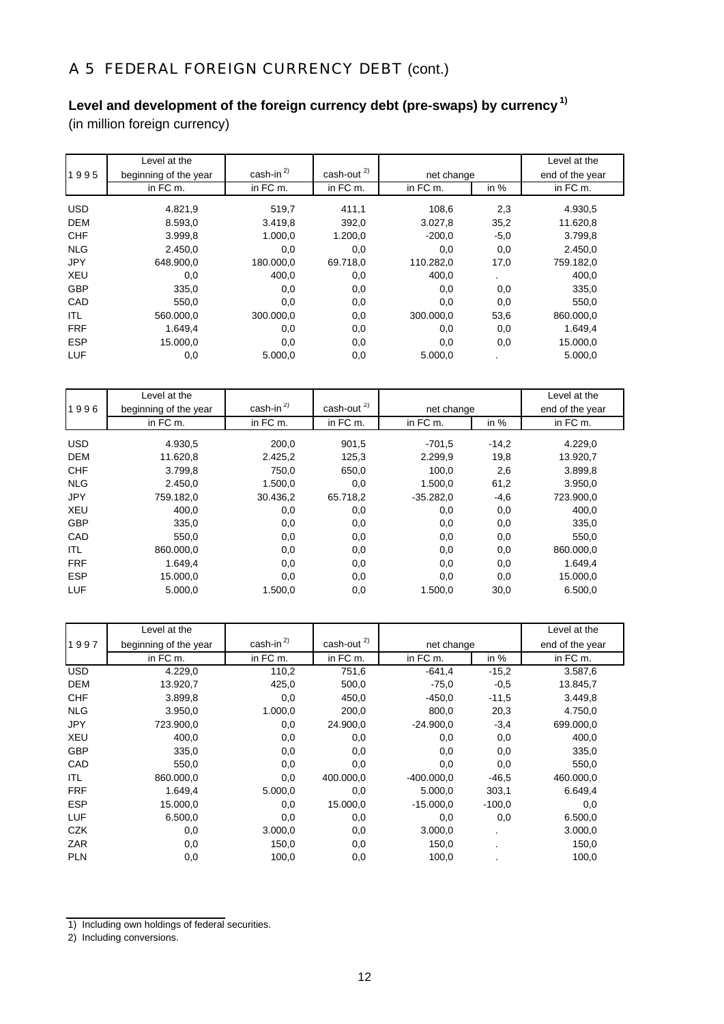# A 5 FEDERAL FOREIGN CURRENCY DEBT (cont.)

## **Level and development of the foreign currency debt (pre-swaps) by currency 1)**

(in million foreign currency)

|            | Level at the          |                 |                  |            |        | Level at the    |
|------------|-----------------------|-----------------|------------------|------------|--------|-----------------|
| 1995       | beginning of the year | cash-in $^{2)}$ | cash-out $^{2)}$ | net change |        | end of the year |
|            | in FC m.              | in FC m.        | in FC m.         | in FC m.   | in $%$ | in FC m.        |
| <b>USD</b> | 4.821,9               | 519,7           | 411,1            | 108.6      | 2,3    | 4.930,5         |
| <b>DEM</b> | 8.593,0               | 3.419.8         | 392.0            | 3.027,8    | 35,2   | 11.620,8        |
| <b>CHF</b> | 3.999,8               | 1.000,0         | 1.200,0          | $-200,0$   | $-5,0$ | 3.799,8         |
| <b>NLG</b> | 2.450,0               | 0,0             | 0,0              | 0,0        | 0,0    | 2.450,0         |
| <b>JPY</b> | 648.900,0             | 180.000,0       | 69.718,0         | 110.282,0  | 17,0   | 759.182,0       |
| <b>XEU</b> | 0,0                   | 400,0           | 0,0              | 400,0      |        | 400,0           |
| <b>GBP</b> | 335,0                 | 0,0             | 0,0              | 0,0        | 0,0    | 335,0           |
| CAD        | 550,0                 | 0,0             | 0,0              | 0,0        | 0,0    | 550,0           |
| ITL        | 560.000,0             | 300.000.0       | 0,0              | 300,000.0  | 53,6   | 860.000,0       |
| <b>FRF</b> | 1.649,4               | 0,0             | 0,0              | 0,0        | 0,0    | 1.649,4         |
| <b>ESP</b> | 15.000,0              | 0,0             | 0,0              | 0,0        | 0,0    | 15.000,0        |
| LUF        | 0,0                   | 5.000,0         | 0,0              | 5.000,0    |        | 5.000,0         |

|            | Level at the          |                 |                  |             |         | Level at the    |
|------------|-----------------------|-----------------|------------------|-------------|---------|-----------------|
| 1996       | beginning of the year | cash-in $^{2)}$ | cash-out $^{2)}$ | net change  |         | end of the year |
|            | in FC m.              | in FC m.        | in FC m.         | in FC m.    | in $%$  | in FC m.        |
| <b>USD</b> | 4.930,5               | 200,0           | 901,5            | $-701,5$    | $-14,2$ | 4.229,0         |
| <b>DEM</b> | 11.620,8              | 2.425.2         | 125.3            | 2.299.9     | 19,8    | 13.920,7        |
| <b>CHF</b> | 3.799,8               | 750,0           | 650,0            | 100.0       | 2,6     | 3.899,8         |
| <b>NLG</b> | 2.450.0               | 1.500.0         | 0,0              | 1.500.0     | 61,2    | 3.950,0         |
| <b>JPY</b> | 759.182,0             | 30.436,2        | 65.718,2         | $-35.282,0$ | $-4,6$  | 723.900,0       |
| <b>XEU</b> | 400,0                 | 0,0             | 0,0              | 0,0         | 0,0     | 400,0           |
| <b>GBP</b> | 335,0                 | 0,0             | 0,0              | 0,0         | 0,0     | 335,0           |
| CAD        | 550,0                 | 0,0             | 0,0              | 0,0         | 0,0     | 550,0           |
| ITL        | 860.000,0             | 0,0             | 0,0              | 0,0         | 0,0     | 860.000,0       |
| <b>FRF</b> | 1.649,4               | 0,0             | 0,0              | 0,0         | 0,0     | 1.649,4         |
| <b>ESP</b> | 15.000,0              | 0,0             | 0,0              | 0,0         | 0,0     | 15.000,0        |
| LUF        | 5.000,0               | 1.500,0         | 0,0              | 1.500,0     | 30,0    | 6.500,0         |

|            | Level at the          |                 |                  |              |                | Level at the    |
|------------|-----------------------|-----------------|------------------|--------------|----------------|-----------------|
| 1997       | beginning of the year | cash-in $^{2)}$ | cash-out $^{2)}$ | net change   |                | end of the year |
|            | in FC m.              | in FC m.        | in FC m.         | in FC m.     | in %           | in FC m.        |
| <b>USD</b> | 4.229,0               | 110,2           | 751,6            | $-641,4$     | $-15,2$        | 3.587,6         |
| <b>DEM</b> | 13.920,7              | 425,0           | 500,0            | $-75,0$      | $-0,5$         | 13.845,7        |
| <b>CHF</b> | 3.899,8               | 0,0             | 450,0            | $-450,0$     | $-11,5$        | 3.449,8         |
| <b>NLG</b> | 3.950,0               | 1.000,0         | 200,0            | 800,0        | 20,3           | 4.750,0         |
| <b>JPY</b> | 723.900,0             | 0,0             | 24.900,0         | $-24.900,0$  | $-3,4$         | 699.000,0       |
| <b>XEU</b> | 400,0                 | 0,0             | 0,0              | 0,0          | 0,0            | 400,0           |
| <b>GBP</b> | 335,0                 | 0,0             | 0,0              | 0,0          | 0,0            | 335,0           |
| CAD        | 550,0                 | 0,0             | 0,0              | 0,0          | 0,0            | 550,0           |
| ITL        | 860.000,0             | 0,0             | 400.000,0        | $-400.000,0$ | $-46,5$        | 460.000,0       |
| <b>FRF</b> | 1.649,4               | 5.000,0         | 0,0              | 5.000,0      | 303,1          | 6.649.4         |
| <b>ESP</b> | 15.000,0              | 0,0             | 15.000,0         | $-15.000,0$  | $-100,0$       | 0,0             |
| LUF        | 6.500,0               | 0,0             | 0,0              | 0,0          | 0,0            | 6.500,0         |
| <b>CZK</b> | 0,0                   | 3.000,0         | 0,0              | 3.000,0      | $\blacksquare$ | 3.000,0         |
| <b>ZAR</b> | 0,0                   | 150,0           | 0,0              | 150,0        |                | 150,0           |
| <b>PLN</b> | 0,0                   | 100,0           | 0,0              | 100,0        |                | 100,0           |

<sup>1)</sup> Including own holdings of federal securities.

2) Including conversions.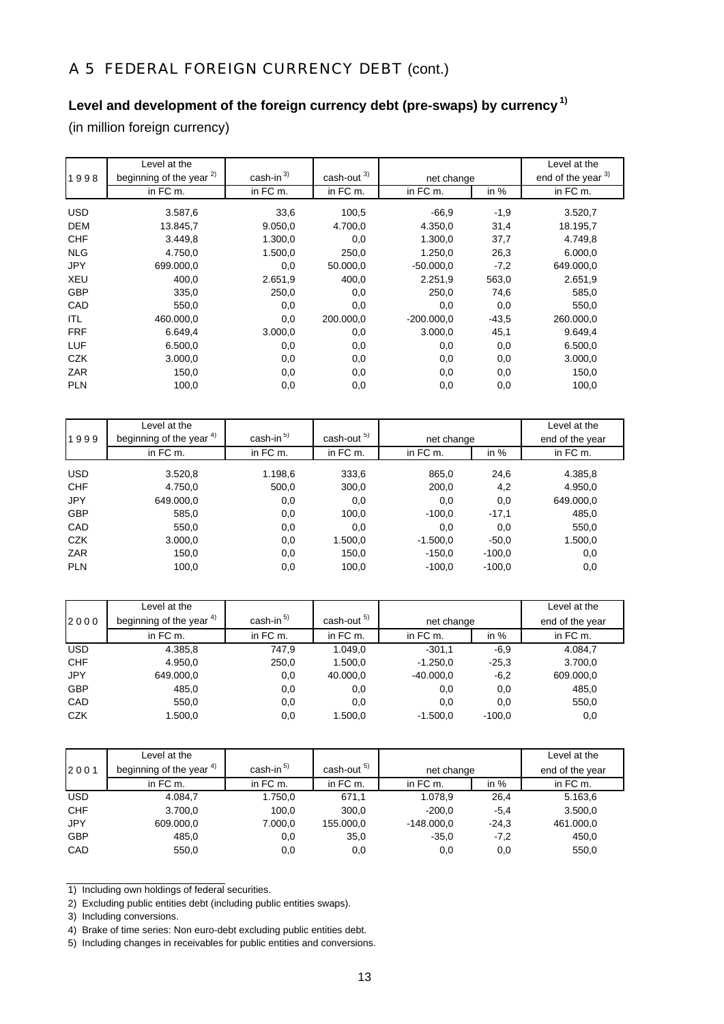# A 5 FEDERAL FOREIGN CURRENCY DEBT (cont.)

## **Level and development of the foreign currency debt (pre-swaps) by currency 1)**

(in million foreign currency)

|            | Level at the                        |              |                        |              |         | Level at the       |
|------------|-------------------------------------|--------------|------------------------|--------------|---------|--------------------|
| 1998       | beginning of the year <sup>2)</sup> | cash-in $3)$ | cash-out <sup>3)</sup> | net change   |         | end of the year 3) |
|            | in FC m.                            | in FC m.     | in FC m.               | in FC m.     | in $%$  | in FC m.           |
| <b>USD</b> | 3.587,6                             | 33,6         | 100,5                  | $-66.9$      | $-1,9$  | 3.520,7            |
| <b>DEM</b> | 13.845,7                            | 9.050,0      | 4.700,0                | 4.350,0      | 31,4    | 18.195,7           |
| <b>CHF</b> | 3.449,8                             | 1.300,0      | 0,0                    | 1.300,0      | 37,7    | 4.749,8            |
| <b>NLG</b> | 4.750,0                             | 1.500,0      | 250,0                  | 1.250,0      | 26,3    | 6.000,0            |
| <b>JPY</b> | 699.000,0                           | 0,0          | 50.000,0               | $-50.000,0$  | $-7,2$  | 649.000,0          |
| <b>XEU</b> | 400,0                               | 2.651,9      | 400,0                  | 2.251,9      | 563,0   | 2.651,9            |
| <b>GBP</b> | 335,0                               | 250,0        | 0,0                    | 250,0        | 74,6    | 585,0              |
| CAD        | 550,0                               | 0,0          | 0,0                    | 0,0          | 0,0     | 550,0              |
| ITL        | 460.000,0                           | 0,0          | 200.000.0              | $-200.000,0$ | $-43,5$ | 260.000,0          |
| <b>FRF</b> | 6.649,4                             | 3.000,0      | 0,0                    | 3.000,0      | 45,1    | 9.649,4            |
| <b>LUF</b> | 6.500,0                             | 0,0          | 0,0                    | 0,0          | 0,0     | 6.500,0            |
| CZK        | 3.000,0                             | 0,0          | 0,0                    | 0,0          | 0,0     | 3.000,0            |
| ZAR        | 150,0                               | 0,0          | 0,0                    | 0,0          | 0,0     | 150,0              |
| <b>PLN</b> | 100,0                               | 0,0          | 0,0                    | 0,0          | 0,0     | 100,0              |

|            | Level at the                        |             |                        |            |          | Level at the    |
|------------|-------------------------------------|-------------|------------------------|------------|----------|-----------------|
| 1999       | beginning of the year <sup>4)</sup> | cash-in $5$ | cash-out <sup>5)</sup> | net change |          | end of the year |
|            | in FC m.                            | in FC m.    | in FC m.               | in FC m.   | in $%$   | in FC m.        |
| <b>USD</b> | 3.520,8                             | 1.198,6     | 333,6                  | 865,0      | 24,6     | 4.385,8         |
| <b>CHF</b> | 4.750,0                             | 500,0       | 300,0                  | 200,0      | 4,2      | 4.950,0         |
| <b>JPY</b> | 649.000,0                           | 0,0         | 0,0                    | 0,0        | 0,0      | 649.000,0       |
| <b>GBP</b> | 585,0                               | 0,0         | 100,0                  | $-100,0$   | $-17,1$  | 485,0           |
| CAD        | 550,0                               | 0,0         | 0,0                    | 0,0        | 0,0      | 550,0           |
| <b>CZK</b> | 3.000,0                             | 0,0         | 1.500,0                | $-1.500,0$ | $-50,0$  | 1.500,0         |
| <b>ZAR</b> | 150,0                               | 0,0         | 150,0                  | $-150,0$   | $-100,0$ | 0,0             |
| <b>PLN</b> | 100,0                               | 0,0         | 100,0                  | $-100,0$   | $-100,0$ | 0,0             |

|            | Level at the             |             |                        |             |          | Level at the    |
|------------|--------------------------|-------------|------------------------|-------------|----------|-----------------|
| 2000       | beginning of the year 4) | cash-in $5$ | cash-out <sup>5)</sup> | net change  |          | end of the year |
|            | in FC m.                 | in FC m.    | in FC m.               | in FC m.    | in $%$   | in FC m.        |
| <b>USD</b> | 4.385,8                  | 747,9       | 1.049,0                | $-301,1$    | $-6,9$   | 4.084,7         |
| <b>CHF</b> | 4.950,0                  | 250,0       | 1.500,0                | $-1.250,0$  | $-25.3$  | 3.700,0         |
| <b>JPY</b> | 649.000,0                | $_{0,0}$    | 40.000,0               | $-40.000,0$ | $-6,2$   | 609.000,0       |
| <b>GBP</b> | 485,0                    | 0,0         | 0,0                    | 0,0         | 0,0      | 485,0           |
| CAD        | 550,0                    | 0,0         | 0,0                    | 0,0         | 0,0      | 550,0           |
| <b>CZK</b> | 1.500,0                  | 0,0         | 1.500,0                | $-1.500.0$  | $-100.0$ | 0,0             |

|            | Level at the             |                       |                        |              |         | Level at the    |
|------------|--------------------------|-----------------------|------------------------|--------------|---------|-----------------|
| 2001       | beginning of the year 4) | cash-in <sup>5)</sup> | cash-out <sup>5)</sup> | net change   |         | end of the year |
|            | in FC m.                 | in FC m.              | in FC m.               | in FC m.     | in $%$  | in FC m.        |
| <b>USD</b> | 4.084.7                  | 1.750,0               | 671,1                  | 1.078,9      | 26,4    | 5.163,6         |
| <b>CHF</b> | 3.700,0                  | 100,0                 | 300.0                  | $-200.0$     | $-5.4$  | 3.500,0         |
| <b>JPY</b> | 609.000,0                | 7.000,0               | 155.000,0              | $-148.000.0$ | $-24.3$ | 461.000,0       |
| <b>GBP</b> | 485,0                    | 0,0                   | 35,0                   | $-35.0$      | $-7,2$  | 450,0           |
| CAD        | 550,0                    | 0,0                   | 0,0                    | 0,0          | 0,0     | 550,0           |

<sup>1)</sup> Including own holdings of federal securities.

<sup>2)</sup> Excluding public entities debt (including public entities swaps).

<sup>3)</sup> Including conversions.

<sup>4)</sup> Brake of time series: Non euro-debt excluding public entities debt.

<sup>5)</sup> Including changes in receivables for public entities and conversions.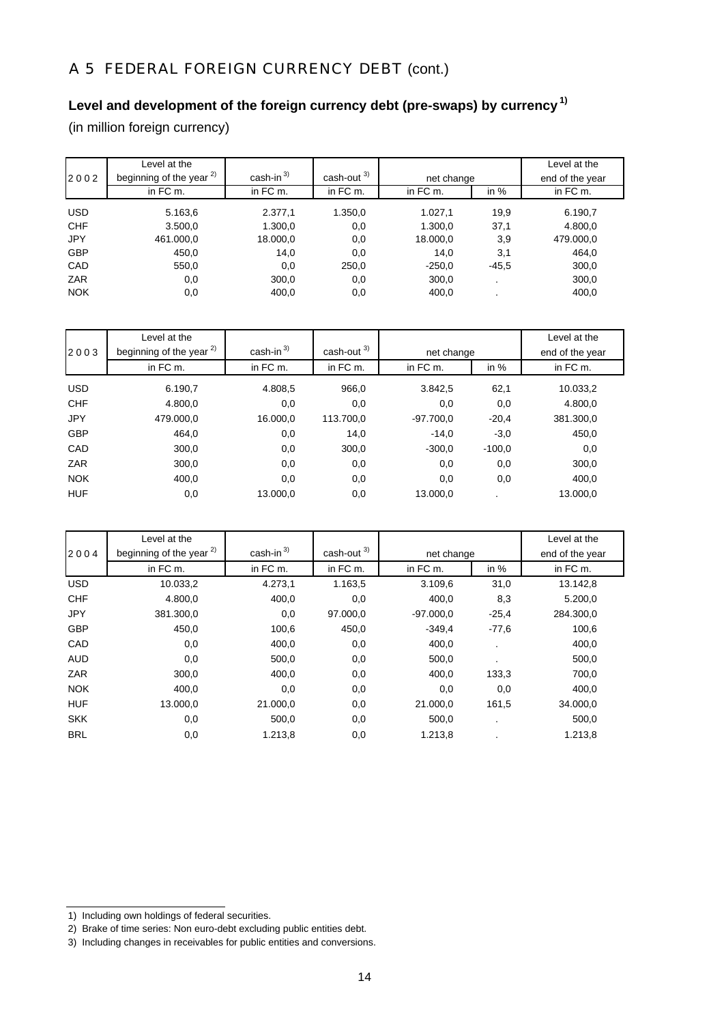# A 5 FEDERAL FOREIGN CURRENCY DEBT (cont.)

# **Level and development of the foreign currency debt (pre-swaps) by currency 1)**

(in million foreign currency)

|            | Level at the                        |              |                  |            |         | Level at the    |
|------------|-------------------------------------|--------------|------------------|------------|---------|-----------------|
| 2002       | beginning of the year <sup>2)</sup> | cash-in $3)$ | $\cosh$ -out $3$ | net change |         | end of the year |
|            | in FC m.                            | in FC m.     | in FC m.         | in FC m.   | in $%$  | in FC m.        |
| <b>USD</b> | 5.163,6                             | 2.377,1      | 1.350,0          | 1.027,1    | 19,9    | 6.190,7         |
| <b>CHF</b> | 3.500,0                             | 1.300,0      | 0,0              | 1.300,0    | 37,1    | 4.800,0         |
| <b>JPY</b> | 461.000,0                           | 18.000,0     | 0,0              | 18.000,0   | 3,9     | 479.000,0       |
| <b>GBP</b> | 450,0                               | 14,0         | 0,0              | 14.0       | 3,1     | 464,0           |
| CAD        | 550,0                               | 0,0          | 250,0            | $-250,0$   | $-45,5$ | 300,0           |
| ZAR        | 0,0                                 | 300,0        | 0,0              | 300,0      |         | 300,0           |
| <b>NOK</b> | 0,0                                 | 400,0        | 0,0              | 400,0      |         | 400,0           |

|            | Level at the                        | $\cosh$ -in $^{3)}$ | $\cosh$ -out $3$ |             |          | Level at the    |
|------------|-------------------------------------|---------------------|------------------|-------------|----------|-----------------|
| 2003       | beginning of the year <sup>2)</sup> |                     |                  | net change  |          | end of the year |
|            | in FC m.                            | in FC m.            | in FC m.         | in FC m.    | in $%$   | in FC m.        |
| <b>USD</b> | 6.190,7                             | 4.808,5             | 966,0            | 3.842,5     | 62,1     | 10.033,2        |
| <b>CHF</b> | 4.800,0                             | 0,0                 | 0,0              | 0,0         | 0,0      | 4.800,0         |
| <b>JPY</b> | 479.000,0                           | 16.000,0            | 113.700,0        | $-97.700,0$ | $-20,4$  | 381.300,0       |
| <b>GBP</b> | 464,0                               | 0,0                 | 14,0             | $-14.0$     | $-3,0$   | 450,0           |
| CAD        | 300,0                               | 0,0                 | 300.0            | $-300,0$    | $-100,0$ | 0,0             |
| ZAR        | 300,0                               | 0,0                 | 0,0              | 0,0         | 0,0      | 300,0           |
| <b>NOK</b> | 400,0                               | 0,0                 | 0,0              | 0,0         | 0,0      | 400,0           |
| <b>HUF</b> | 0,0                                 | 13.000,0            | 0,0              | 13.000.0    |          | 13.000.0        |

|            | Level at the                        |                         |               |             |                | Level at the    |
|------------|-------------------------------------|-------------------------|---------------|-------------|----------------|-----------------|
| 2004       | beginning of the year <sup>2)</sup> | $cash-in$ <sup>3)</sup> | cash-out $3)$ | net change  |                | end of the year |
|            | in FC m.                            | in FC m.                | in FC m.      | in FC m.    | in $%$         | in FC m.        |
| <b>USD</b> | 10.033,2                            | 4.273.1                 | 1.163,5       | 3.109,6     | 31,0           | 13.142,8        |
| <b>CHF</b> | 4.800.0                             | 400,0                   | 0,0           | 400.0       | 8,3            | 5.200,0         |
| <b>JPY</b> | 381.300,0                           | 0,0                     | 97.000,0      | $-97.000.0$ | $-25.4$        | 284.300,0       |
| <b>GBP</b> | 450,0                               | 100,6                   | 450,0         | $-349,4$    | $-77,6$        | 100,6           |
| CAD        | 0,0                                 | 400,0                   | 0,0           | 400,0       | $\blacksquare$ | 400,0           |
| <b>AUD</b> | 0,0                                 | 500,0                   | 0,0           | 500,0       |                | 500,0           |
| <b>ZAR</b> | 300,0                               | 400,0                   | 0,0           | 400,0       | 133,3          | 700,0           |
| <b>NOK</b> | 400,0                               | 0,0                     | 0,0           | 0,0         | 0,0            | 400,0           |
| <b>HUF</b> | 13.000,0                            | 21.000,0                | 0,0           | 21.000,0    | 161,5          | 34.000,0        |
| <b>SKK</b> | 0,0                                 | 500,0                   | 0,0           | 500.0       | $\cdot$        | 500,0           |
| <b>BRL</b> | 0,0                                 | 1.213.8                 | 0,0           | 1.213.8     |                | 1.213.8         |

- 1) Including own holdings of federal securities.
- 2) Brake of time series: Non euro-debt excluding public entities debt.
- 3) Including changes in receivables for public entities and conversions.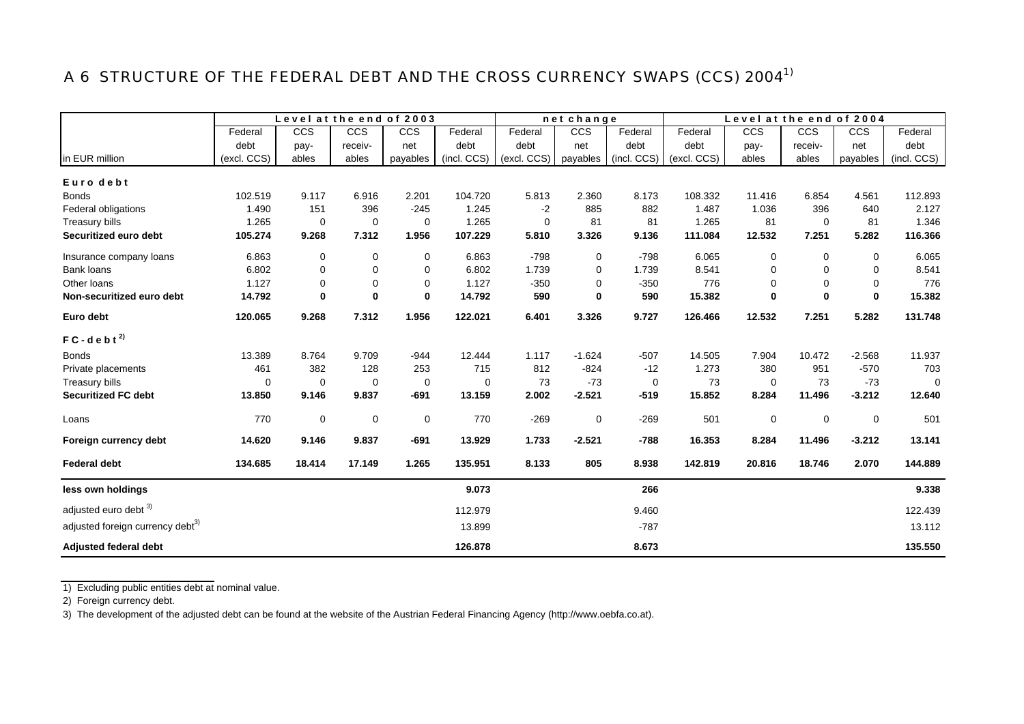# A 6 STRUCTURE OF THE FEDERAL DEBT AND THE CROSS CURRENCY SWAPS (CCS) 2004<sup>1)</sup>

|                                              |             | Level at the end of 2003 |             |          |             |             | net change  |             |             | Level at the end of 2004 |             |          |             |
|----------------------------------------------|-------------|--------------------------|-------------|----------|-------------|-------------|-------------|-------------|-------------|--------------------------|-------------|----------|-------------|
|                                              | Federal     | CCS                      | CCS         | CCS      | Federal     | Federal     | CCS         | Federal     | Federal     | <b>CCS</b>               | CCS         | CCS      | Federal     |
|                                              | debt        | pay-                     | receiv-     | net      | debt        | debt        | net         | debt        | debt        | pay-                     | receiv-     | net      | debt        |
| in EUR million                               | (excl. CCS) | ables                    | ables       | payables | (incl. CCS) | (excl. CCS) | payables    | (incl. CCS) | (excl. CCS) | ables                    | ables       | payables | (incl. CCS) |
| Euro debt                                    |             |                          |             |          |             |             |             |             |             |                          |             |          |             |
| <b>Bonds</b>                                 | 102.519     | 9.117                    | 6.916       | 2.201    | 104.720     | 5.813       | 2.360       | 8.173       | 108.332     | 11.416                   | 6.854       | 4.561    | 112.893     |
| Federal obligations                          | 1.490       | 151                      | 396         | $-245$   | 1.245       | $-2$        | 885         | 882         | 1.487       | 1.036                    | 396         | 640      | 2.127       |
| Treasury bills                               | 1.265       | $\mathbf 0$              | $\mathbf 0$ | 0        | 1.265       | 0           | 81          | 81          | 1.265       | 81                       | 0           | 81       | 1.346       |
| Securitized euro debt                        | 105.274     | 9.268                    | 7.312       | 1.956    | 107.229     | 5.810       | 3.326       | 9.136       | 111.084     | 12.532                   | 7.251       | 5.282    | 116.366     |
| Insurance company loans                      | 6.863       | 0                        | 0           | 0        | 6.863       | $-798$      | $\mathbf 0$ | $-798$      | 6.065       | 0                        | 0           | 0        | 6.065       |
| <b>Bank loans</b>                            | 6.802       | 0                        | 0           | 0        | 6.802       | 1.739       | $\Omega$    | 1.739       | 8.541       | $\Omega$                 | 0           | $\Omega$ | 8.541       |
| Other loans                                  | 1.127       | 0                        | 0           | 0        | 1.127       | $-350$      | 0           | $-350$      | 776         | 0                        | $\mathbf 0$ | 0        | 776         |
| Non-securitized euro debt                    | 14.792      | 0                        | $\mathbf 0$ | 0        | 14.792      | 590         | $\bf{0}$    | 590         | 15.382      | 0                        | $\mathbf 0$ | $\bf{0}$ | 15.382      |
| Euro debt                                    | 120.065     | 9.268                    | 7.312       | 1.956    | 122.021     | 6.401       | 3.326       | 9.727       | 126.466     | 12.532                   | 7.251       | 5.282    | 131.748     |
| $FC - d e b t^{2}$                           |             |                          |             |          |             |             |             |             |             |                          |             |          |             |
| <b>Bonds</b>                                 | 13.389      | 8.764                    | 9.709       | $-944$   | 12.444      | 1.117       | $-1.624$    | $-507$      | 14.505      | 7.904                    | 10.472      | $-2.568$ | 11.937      |
| Private placements                           | 461         | 382                      | 128         | 253      | 715         | 812         | $-824$      | $-12$       | 1.273       | 380                      | 951         | $-570$   | 703         |
| Treasury bills                               | $\mathbf 0$ | $\mathbf 0$              | $\mathbf 0$ | 0        | $\mathbf 0$ | 73          | $-73$       | 0           | 73          | $\mathbf 0$              | 73          | $-73$    | 0           |
| <b>Securitized FC debt</b>                   | 13.850      | 9.146                    | 9.837       | $-691$   | 13.159      | 2.002       | $-2.521$    | $-519$      | 15.852      | 8.284                    | 11.496      | $-3.212$ | 12.640      |
| Loans                                        | 770         | $\pmb{0}$                | $\pmb{0}$   | 0        | 770         | $-269$      | $\mathbf 0$ | $-269$      | 501         | $\pmb{0}$                | $\mathbf 0$ | 0        | 501         |
| Foreign currency debt                        | 14.620      | 9.146                    | 9.837       | $-691$   | 13.929      | 1.733       | $-2.521$    | $-788$      | 16.353      | 8.284                    | 11.496      | $-3.212$ | 13.141      |
| <b>Federal debt</b>                          | 134.685     | 18.414                   | 17.149      | 1.265    | 135.951     | 8.133       | 805         | 8.938       | 142.819     | 20.816                   | 18.746      | 2.070    | 144.889     |
| less own holdings                            |             |                          |             |          | 9.073       |             |             | 266         |             |                          |             |          | 9.338       |
| adjusted euro debt 3)                        |             |                          |             |          | 112.979     |             |             | 9.460       |             |                          |             |          | 122.439     |
| adjusted foreign currency debt <sup>3)</sup> |             |                          |             |          | 13.899      |             |             | $-787$      |             |                          |             |          | 13.112      |
| <b>Adjusted federal debt</b>                 |             |                          |             |          | 126.878     |             |             | 8.673       |             |                          |             |          | 135.550     |

1) Excluding public entities debt at nominal value.

2) Foreign currency debt.

3) The development of the adjusted debt can be found at the website of the Austrian Federal Financing Agency (http://www.oebfa.co.at).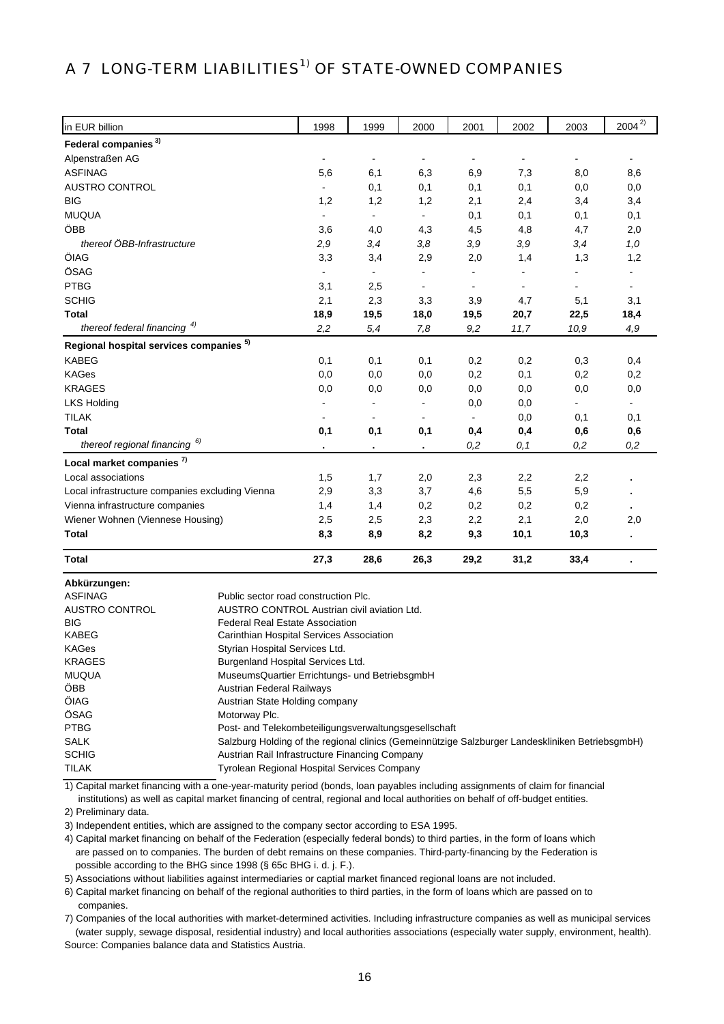# A 7 LONG-TERM LIABILITIES<sup>1)</sup> OF STATE-OWNED COMPANIES

| in EUR billion                                     | 1998           | 1999           | 2000                     | 2001           | 2002                     | 2003                     | $2004^{2}$               |
|----------------------------------------------------|----------------|----------------|--------------------------|----------------|--------------------------|--------------------------|--------------------------|
| Federal companies <sup>3)</sup>                    |                |                |                          |                |                          |                          |                          |
| Alpenstraßen AG                                    | $\blacksquare$ | $\frac{1}{2}$  | $\overline{\phantom{a}}$ | ۰              | $\overline{\phantom{a}}$ | $\overline{\phantom{a}}$ | $\overline{\phantom{a}}$ |
| <b>ASFINAG</b>                                     | 5,6            | 6,1            | 6,3                      | 6,9            | 7,3                      | 8,0                      | 8,6                      |
| AUSTRO CONTROL                                     |                | 0,1            | 0,1                      | 0,1            | 0,1                      | 0,0                      | 0,0                      |
| <b>BIG</b>                                         | 1,2            | 1,2            | 1,2                      | 2,1            | 2,4                      | 3,4                      | 3,4                      |
| <b>MUQUA</b>                                       | $\blacksquare$ | $\blacksquare$ | $\blacksquare$           | 0,1            | 0,1                      | 0,1                      | 0,1                      |
| ÖBB                                                | 3,6            | 4,0            | 4,3                      | 4,5            | 4,8                      | 4,7                      | 2,0                      |
| thereof ÖBB-Infrastructure                         | 2,9            | 3,4            | 3,8                      | 3,9            | 3,9                      | 3,4                      | 1,0                      |
| ÖIAG                                               | 3,3            | 3,4            | 2,9                      | 2,0            | 1,4                      | 1,3                      | 1,2                      |
| ÖSAG                                               |                | $\blacksquare$ | $\blacksquare$           |                |                          |                          |                          |
| <b>PTBG</b>                                        | 3,1            | 2,5            | $\blacksquare$           | $\blacksquare$ |                          | $\overline{\phantom{0}}$ |                          |
| <b>SCHIG</b>                                       | 2,1            | 2,3            | 3,3                      | 3,9            | 4,7                      | 5,1                      | 3,1                      |
| <b>Total</b>                                       | 18,9           | 19,5           | 18,0                     | 19,5           | 20,7                     | 22,5                     | 18,4                     |
| thereof federal financing <sup>4)</sup>            | 2,2            | 5,4            | 7,8                      | 9,2            | 11,7                     | 10,9                     | 4,9                      |
| Regional hospital services companies <sup>5)</sup> |                |                |                          |                |                          |                          |                          |
| <b>KABEG</b>                                       | 0,1            | 0,1            | 0,1                      | 0,2            | 0,2                      | 0,3                      | 0,4                      |
| <b>KAGes</b>                                       | 0,0            | 0,0            | 0,0                      | 0,2            | 0,1                      | 0,2                      | 0,2                      |
| <b>KRAGES</b>                                      | 0,0            | 0,0            | 0,0                      | 0,0            | 0,0                      | 0,0                      | 0,0                      |
| <b>LKS Holding</b>                                 |                | $\blacksquare$ | $\blacksquare$           | 0,0            | 0,0                      |                          | $\mathbf{r}$             |
| <b>TILAK</b>                                       |                |                |                          |                | 0,0                      | 0,1                      | 0,1                      |
| <b>Total</b>                                       | 0,1            | 0,1            | 0,1                      | 0,4            | 0,4                      | 0,6                      | 0,6                      |
| thereof regional financing <sup>6)</sup>           |                |                | $\blacksquare$           | 0,2            | 0,1                      | 0,2                      | 0,2                      |
| Local market companies <sup>7)</sup>               |                |                |                          |                |                          |                          |                          |
| Local associations                                 | 1,5            | 1,7            | 2,0                      | 2,3            | 2,2                      | 2,2                      |                          |
| Local infrastructure companies excluding Vienna    | 2,9            | 3,3            | 3,7                      | 4,6            | 5,5                      | 5,9                      |                          |
| Vienna infrastructure companies                    | 1,4            | 1,4            | 0,2                      | 0,2            | 0,2                      | 0,2                      |                          |
| Wiener Wohnen (Viennese Housing)                   | 2,5            | 2,5            | 2,3                      | 2,2            | 2,1                      | 2,0                      | 2,0                      |
| Total                                              | 8,3            | 8,9            | 8,2                      | 9,3            | 10,1                     | 10,3                     |                          |
| <b>Total</b>                                       | 27,3           | 28,6           | 26,3                     | 29,2           | 31,2                     | 33,4                     |                          |

**Abkürzungen:** 

| Public sector road construction Plc.                                                            |
|-------------------------------------------------------------------------------------------------|
| AUSTRO CONTROL Austrian civil aviation Ltd.                                                     |
| <b>Federal Real Estate Association</b>                                                          |
| Carinthian Hospital Services Association                                                        |
| Styrian Hospital Services Ltd.                                                                  |
| Burgenland Hospital Services Ltd.                                                               |
| MuseumsQuartier Errichtungs- und BetriebsgmbH                                                   |
| <b>Austrian Federal Railways</b>                                                                |
| Austrian State Holding company                                                                  |
| Motorway Plc.                                                                                   |
| Post- and Telekombeteiligungsverwaltungsgesellschaft                                            |
| Salzburg Holding of the regional clinics (Gemeinnützige Salzburger Landeskliniken BetriebsgmbH) |
| Austrian Rail Infrastructure Financing Company                                                  |
| Tyrolean Regional Hospital Services Company                                                     |
|                                                                                                 |

 institutions) as well as capital market financing of central, regional and local authorities on behalf of off-budget entities. 1) Capital market financing with a one-year-maturity period (bonds, loan payables including assignments of claim for financial

2) Preliminary data.

3) Independent entities, which are assigned to the company sector according to ESA 1995.

4) Capital market financing on behalf of the Federation (especially federal bonds) to third parties, in the form of loans which are passed on to companies. The burden of debt remains on these companies. Third-party-financing by the Federation is possible according to the BHG since 1998 (§ 65c BHG i. d. j. F.).

5) Associations without liabilities against intermediaries or captial market financed regional loans are not included.

6) Capital market financing on behalf of the regional authorities to third parties, in the form of loans which are passed on to companies.

7) Companies of the local authorities with market-determined activities. Including infrastructure companies as well as municipal services (water supply, sewage disposal, residential industry) and local authorities associations (especially water supply, environment, health). Source: Companies balance data and Statistics Austria.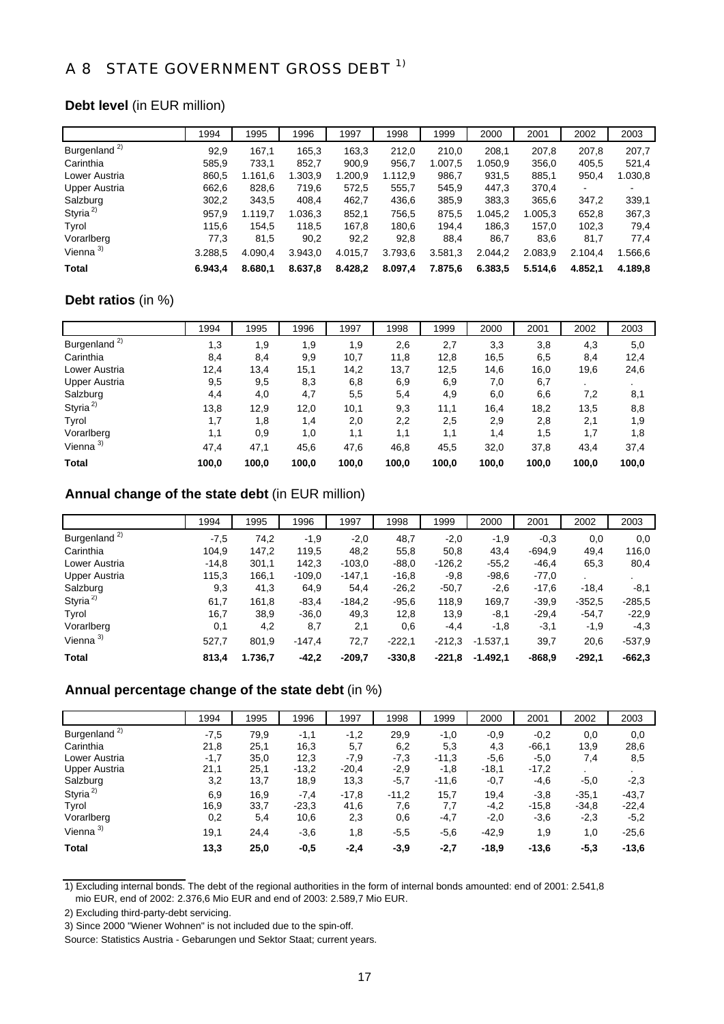## A 8 STATE GOVERNMENT GROSS DEBT <sup>1)</sup>

### **Debt level** (in EUR million)

|                          | 1994    | 1995    | 1996    | 1997    | 1998    | 1999    | 2000    | 2001    | 2002    | 2003    |
|--------------------------|---------|---------|---------|---------|---------|---------|---------|---------|---------|---------|
| Burgenland <sup>2)</sup> | 92.9    | 167,1   | 165.3   | 163,3   | 212,0   | 210,0   | 208.1   | 207,8   | 207.8   | 207.7   |
| Carinthia                | 585,9   | 733,1   | 852,7   | 900,9   | 956,7   | 1.007,5 | 1.050,9 | 356,0   | 405,5   | 521,4   |
| Lower Austria            | 860,5   | 1.161,6 | 1.303,9 | 1.200,9 | 1.112,9 | 986.7   | 931,5   | 885,1   | 950,4   | 1.030,8 |
| Upper Austria            | 662,6   | 828,6   | 719,6   | 572,5   | 555,7   | 545,9   | 447,3   | 370,4   | ۰       |         |
| Salzburg                 | 302,2   | 343,5   | 408,4   | 462,7   | 436,6   | 385,9   | 383,3   | 365,6   | 347,2   | 339,1   |
| Styria <sup>2)</sup>     | 957,9   | 1.119.7 | 1.036,3 | 852.1   | 756.5   | 875,5   | 1.045.2 | 1.005.3 | 652,8   | 367,3   |
| Tyrol                    | 115.6   | 154.5   | 118,5   | 167.8   | 180.6   | 194.4   | 186.3   | 157.0   | 102.3   | 79,4    |
| Vorarlberg               | 77,3    | 81,5    | 90,2    | 92,2    | 92,8    | 88,4    | 86,7    | 83,6    | 81,7    | 77,4    |
| Vienna <sup>3)</sup>     | 3.288,5 | 4.090,4 | 3.943,0 | 4.015,7 | 3.793,6 | 3.581,3 | 2.044,2 | 2.083,9 | 2.104.4 | 1.566,6 |
| Total                    | 6.943.4 | 8.680.1 | 8.637,8 | 8.428,2 | 8.097,4 | 7.875,6 | 6.383,5 | 5.514,6 | 4.852.1 | 4.189,8 |

### **Debt ratios** (in %)

|                          | 1994  | 1995  | 1996  | 1997  | 1998  | 1999  | 2000  | 2001  | 2002  | 2003  |
|--------------------------|-------|-------|-------|-------|-------|-------|-------|-------|-------|-------|
| Burgenland <sup>2)</sup> | 1,3   | 1,9   | 1,9   | 1,9   | 2,6   | 2,7   | 3,3   | 3,8   | 4,3   | 5,0   |
| Carinthia                | 8,4   | 8,4   | 9,9   | 10,7  | 11,8  | 12,8  | 16,5  | 6,5   | 8,4   | 12,4  |
| Lower Austria            | 12,4  | 13,4  | 15,1  | 14,2  | 13,7  | 12,5  | 14,6  | 16,0  | 19,6  | 24,6  |
| <b>Upper Austria</b>     | 9,5   | 9,5   | 8,3   | 6,8   | 6,9   | 6,9   | 7,0   | 6,7   |       |       |
| Salzburg                 | 4,4   | 4,0   | 4,7   | 5,5   | 5,4   | 4,9   | 6,0   | 6,6   | 7,2   | 8,1   |
| Styria <sup>2)</sup>     | 13,8  | 12,9  | 12,0  | 10,1  | 9,3   | 11,1  | 16.4  | 18,2  | 13,5  | 8,8   |
| Tyrol                    | 1,7   | 1,8   | 1,4   | 2,0   | 2,2   | 2,5   | 2,9   | 2,8   | 2,1   | 1,9   |
| Vorarlberg               | 1,1   | 0,9   | 1,0   | 1,1   | 1,1   | 1,1   | 1,4   | 1,5   | 1,7   | 1,8   |
| Vienna $3$               | 47,4  | 47,1  | 45,6  | 47,6  | 46,8  | 45,5  | 32,0  | 37,8  | 43,4  | 37,4  |
| <b>Total</b>             | 100,0 | 100,0 | 100,0 | 100,0 | 100,0 | 100,0 | 100,0 | 100,0 | 100,0 | 100,0 |

### **Annual change of the state debt** (in EUR million)

|                          | 1994    | 1995    | 1996     | 1997     | 1998     | 1999     | 2000       | 2001     | 2002     | 2003     |
|--------------------------|---------|---------|----------|----------|----------|----------|------------|----------|----------|----------|
| Burgenland <sup>2)</sup> | $-7,5$  | 74,2    | $-1,9$   | $-2,0$   | 48,7     | $-2,0$   | $-1,9$     | $-0.3$   | 0,0      | 0,0      |
| Carinthia                | 104,9   | 147,2   | 119,5    | 48,2     | 55,8     | 50,8     | 43,4       | $-694.9$ | 49,4     | 116,0    |
| Lower Austria            | $-14,8$ | 301,1   | 142,3    | $-103,0$ | $-88.0$  | $-126,2$ | $-55.2$    | $-46.4$  | 65,3     | 80,4     |
| Upper Austria            | 115,3   | 166,1   | $-109.0$ | $-147,1$ | $-16,8$  | $-9,8$   | $-98,6$    | $-77,0$  | ٠.       |          |
| Salzburg                 | 9,3     | 41,3    | 64,9     | 54,4     | $-26,2$  | $-50,7$  | $-2,6$     | $-17,6$  | $-18.4$  | $-8,1$   |
| Styria <sup>2)</sup>     | 61,7    | 161,8   | $-83,4$  | $-184.2$ | $-95,6$  | 118.9    | 169.7      | $-39.9$  | $-352.5$ | $-285.5$ |
| Tyrol                    | 16,7    | 38,9    | $-36,0$  | 49,3     | 12,8     | 13,9     | -8,1       | $-29,4$  | $-54.7$  | $-22.9$  |
| Vorarlberg               | 0,1     | 4,2     | 8,7      | 2,1      | 0,6      | $-4,4$   | $-1,8$     | $-3,1$   | $-1,9$   | $-4,3$   |
| Vienna $3)$              | 527,7   | 801,9   | $-147,4$ | 72,7     | $-222.1$ | $-212.3$ | $-1.537,1$ | 39,7     | 20,6     | $-537.9$ |
| Total                    | 813,4   | 1.736,7 | $-42,2$  | $-209.7$ | $-330.8$ | $-221.8$ | $-1.492.1$ | $-868.9$ | $-292.1$ | $-662.3$ |

### **Annual percentage change of the state debt** (in %)

|                          | 1994   | 1995 | 1996    | 1997    | 1998    | 1999    | 2000    | 2001    | 2002    | 2003    |
|--------------------------|--------|------|---------|---------|---------|---------|---------|---------|---------|---------|
| Burgenland <sup>2)</sup> | $-7,5$ | 79,9 | $-1,1$  | $-1,2$  | 29,9    | $-1,0$  | $-0.9$  | $-0,2$  | 0,0     | 0,0     |
| Carinthia                | 21,8   | 25,1 | 16,3    | 5,7     | 6,2     | 5,3     | 4,3     | $-66,1$ | 13,9    | 28,6    |
| Lower Austria            | $-1,7$ | 35,0 | 12,3    | -7.9    | $-7,3$  | $-11.3$ | $-5,6$  | $-5,0$  | 7,4     | 8,5     |
| Upper Austria            | 21,1   | 25,1 | $-13.2$ | $-20,4$ | $-2,9$  | $-1,8$  | $-18,1$ | $-17,2$ |         |         |
| Salzburg                 | 3,2    | 13,7 | 18,9    | 13,3    | $-5,7$  | $-11,6$ | $-0,7$  | $-4,6$  | $-5,0$  | $-2,3$  |
| Styria <sup>2)</sup>     | 6,9    | 16,9 | $-7,4$  | $-17.8$ | $-11,2$ | 15,7    | 19,4    | $-3,8$  | $-35,1$ | $-43,7$ |
| Tyrol                    | 16,9   | 33,7 | $-23.3$ | 41,6    | 7,6     | 7,7     | $-4,2$  | $-15,8$ | $-34,8$ | $-22,4$ |
| Vorarlberg               | 0,2    | 5,4  | 10,6    | 2,3     | 0,6     | $-4,7$  | $-2,0$  | $-3,6$  | $-2,3$  | $-5,2$  |
| Vienna $3)$              | 19,1   | 24,4 | $-3,6$  | 1,8     | $-5,5$  | $-5.6$  | $-42.9$ | 1,9     | 1,0     | $-25,6$ |
| <b>Total</b>             | 13,3   | 25,0 | $-0,5$  | $-2,4$  | $-3,9$  | $-2,7$  | $-18,9$ | $-13,6$ | $-5,3$  | $-13,6$ |

1) Excluding internal bonds. The debt of the regional authorities in the form of internal bonds amounted: end of 2001: 2.541,8 mio EUR, end of 2002: 2.376,6 Mio EUR and end of 2003: 2.589,7 Mio EUR.

<sup>2)</sup> Excluding third-party-debt servicing.

<sup>3)</sup> Since 2000 "Wiener Wohnen" is not included due to the spin-off.

Source: Statistics Austria - Gebarungen und Sektor Staat; current years.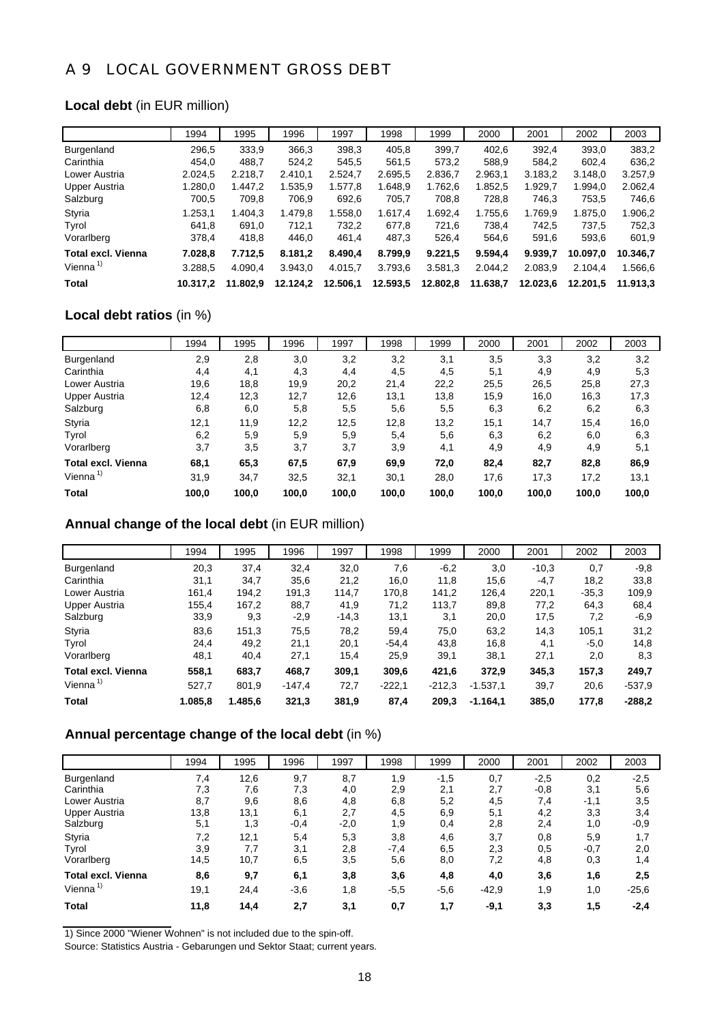### A 9 LOCAL GOVERNMENT GROSS DEBT

### **Local debt** (in EUR million)

|                           | 1994     | 1995     | 1996     | 1997     | 1998     | 1999     | 2000     | 2001     | 2002     | 2003     |
|---------------------------|----------|----------|----------|----------|----------|----------|----------|----------|----------|----------|
| <b>Burgenland</b>         | 296,5    | 333.9    | 366,3    | 398.3    | 405.8    | 399.7    | 402.6    | 392.4    | 393.0    | 383,2    |
| Carinthia                 | 454.0    | 488.7    | 524,2    | 545.5    | 561.5    | 573.2    | 588.9    | 584.2    | 602.4    | 636,2    |
| Lower Austria             | 2.024.5  | 2.218.7  | 2.410.1  | 2.524.7  | 2.695.5  | 2.836.7  | 2.963.1  | 3.183.2  | 3.148.0  | 3.257.9  |
| Upper Austria             | 1.280.0  | 1.447.2  | 1.535,9  | 1.577,8  | 1.648.9  | 1.762.6  | 1.852.5  | 1.929.7  | 1.994.0  | 2.062,4  |
| Salzburg                  | 700.5    | 709.8    | 706.9    | 692,6    | 705.7    | 708.8    | 728.8    | 746.3    | 753.5    | 746,6    |
| Styria                    | 1.253,1  | 1.404.3  | 1.479,8  | .558.0   | 1.617.4  | 1.692.4  | 1.755.6  | 1.769.9  | 1.875.0  | 1.906,2  |
| Tyrol                     | 641.8    | 691.0    | 712.1    | 732.2    | 677.8    | 721.6    | 738.4    | 742.5    | 737.5    | 752.3    |
| Vorarlberg                | 378.4    | 418,8    | 446.0    | 461,4    | 487.3    | 526.4    | 564.6    | 591.6    | 593.6    | 601,9    |
| <b>Total excl. Vienna</b> | 7.028,8  | 7.712,5  | 8.181,2  | 8.490,4  | 8.799,9  | 9.221,5  | 9.594,4  | 9.939.7  | 10.097.0 | 10.346.7 |
| Vienna $1$                | 3.288.5  | 4.090.4  | 3.943.0  | 4.015.7  | 3.793,6  | 3.581.3  | 2.044.2  | 2.083.9  | 2.104.4  | 1.566.6  |
| Total                     | 10.317.2 | 11.802.9 | 12.124.2 | 12.506,1 | 12.593,5 | 12.802.8 | 11.638.7 | 12.023.6 | 12.201.5 | 11.913.3 |

### **Local debt ratios** (in %)

|                      | 1994  | 1995  | 1996  | 1997  | 1998  | 1999  | 2000  | 2001  | 2002  | 2003  |
|----------------------|-------|-------|-------|-------|-------|-------|-------|-------|-------|-------|
| Burgenland           | 2,9   | 2,8   | 3,0   | 3,2   | 3,2   | 3,1   | 3,5   | 3,3   | 3,2   | 3,2   |
| Carinthia            | 4,4   | 4,1   | 4,3   | 4,4   | 4,5   | 4,5   | 5,1   | 4,9   | 4,9   | 5,3   |
| Lower Austria        | 19,6  | 18,8  | 19,9  | 20,2  | 21,4  | 22,2  | 25,5  | 26,5  | 25,8  | 27,3  |
| Upper Austria        | 12,4  | 12,3  | 12,7  | 12,6  | 13,1  | 13,8  | 15,9  | 16,0  | 16,3  | 17,3  |
| Salzburg             | 6,8   | 6,0   | 5,8   | 5,5   | 5,6   | 5,5   | 6,3   | 6,2   | 6,2   | 6,3   |
| Styria               | 12,1  | 11,9  | 12,2  | 12,5  | 12,8  | 13,2  | 15,1  | 14,7  | 15,4  | 16,0  |
| Tyrol                | 6,2   | 5,9   | 5,9   | 5,9   | 5,4   | 5,6   | 6,3   | 6,2   | 6,0   | 6,3   |
| Vorarlberg           | 3,7   | 3,5   | 3,7   | 3,7   | 3,9   | 4,1   | 4,9   | 4,9   | 4,9   | 5,1   |
| Total excl. Vienna   | 68,1  | 65,3  | 67,5  | 67,9  | 69,9  | 72,0  | 82,4  | 82,7  | 82,8  | 86,9  |
| Vienna <sup>1)</sup> | 31,9  | 34,7  | 32,5  | 32,1  | 30,1  | 28,0  | 17,6  | 17,3  | 17,2  | 13,1  |
| Total                | 100.0 | 100.0 | 100,0 | 100,0 | 100,0 | 100,0 | 100,0 | 100,0 | 100,0 | 100,0 |

### **Annual change of the local debt** (in EUR million)

|                           | 1994    | 1995    | 1996     | 1997    | 1998     | 1999     | 2000       | 2001    | 2002    | 2003     |
|---------------------------|---------|---------|----------|---------|----------|----------|------------|---------|---------|----------|
| <b>Burgenland</b>         | 20,3    | 37,4    | 32,4     | 32,0    | 7,6      | $-6,2$   | 3,0        | $-10,3$ | 0,7     | $-9.8$   |
| Carinthia                 | 31,1    | 34,7    | 35,6     | 21,2    | 16,0     | 11,8     | 15,6       | $-4,7$  | 18,2    | 33,8     |
| Lower Austria             | 161,4   | 194.2   | 191,3    | 114.7   | 170,8    | 141.2    | 126,4      | 220,1   | $-35,3$ | 109.9    |
| Upper Austria             | 155,4   | 167,2   | 88,7     | 41,9    | 71,2     | 113,7    | 89,8       | 77,2    | 64,3    | 68,4     |
| Salzburg                  | 33,9    | 9,3     | $-2,9$   | $-14,3$ | 13,1     | 3,1      | 20,0       | 17,5    | 7,2     | $-6,9$   |
| Styria                    | 83,6    | 151,3   | 75,5     | 78,2    | 59,4     | 75,0     | 63.2       | 14,3    | 105.1   | 31,2     |
| Tyrol                     | 24,4    | 49,2    | 21,1     | 20,1    | $-54.4$  | 43,8     | 16,8       | 4,1     | $-5.0$  | 14,8     |
| Vorarlberg                | 48,1    | 40,4    | 27,1     | 15,4    | 25,9     | 39,1     | 38,1       | 27,1    | 2,0     | 8,3      |
| <b>Total excl. Vienna</b> | 558,1   | 683,7   | 468,7    | 309,1   | 309,6    | 421,6    | 372,9      | 345,3   | 157,3   | 249,7    |
| Vienna $1$                | 527,7   | 801,9   | $-147,4$ | 72,7    | $-222.1$ | $-212.3$ | $-1.537,1$ | 39,7    | 20,6    | $-537.9$ |
| <b>Total</b>              | 1.085.8 | 1.485.6 | 321,3    | 381,9   | 87,4     | 209,3    | $-1.164.1$ | 385,0   | 177.8   | $-288.2$ |

### **Annual percentage change of the local debt** (in %)

|                           | 1994 | 1995 | 1996   | 1997   | 1998   | 1999   | 2000    | 2001   | 2002   | 2003    |
|---------------------------|------|------|--------|--------|--------|--------|---------|--------|--------|---------|
| Burgenland                | 7,4  | 12,6 | 9,7    | 8,7    | 1,9    | $-1,5$ | 0,7     | $-2,5$ | 0,2    | $-2,5$  |
| Carinthia                 | 7,3  | 7,6  | 7,3    | 4,0    | 2,9    | 2,1    | 2,7     | $-0,8$ | 3,1    | 5,6     |
| Lower Austria             | 8,7  | 9,6  | 8,6    | 4,8    | 6,8    | 5,2    | 4,5     | 7,4    | $-1,1$ | 3,5     |
| <b>Upper Austria</b>      | 13,8 | 13,1 | 6,1    | 2,7    | 4,5    | 6,9    | 5,1     | 4,2    | 3,3    | 3,4     |
| Salzburg                  | 5,1  | 1,3  | $-0,4$ | $-2,0$ | 1,9    | 0,4    | 2,8     | 2,4    | 1,0    | $-0,9$  |
| Styria                    | 7,2  | 12,1 | 5,4    | 5,3    | 3,8    | 4,6    | 3,7     | 0,8    | 5,9    | 1,7     |
| Tyrol                     | 3,9  | 7,7  | 3,1    | 2,8    | $-7,4$ | 6,5    | 2,3     | 0,5    | $-0,7$ | 2,0     |
| Vorarlberg                | 14,5 | 10,7 | 6,5    | 3,5    | 5,6    | 8,0    | 7,2     | 4,8    | 0,3    | 1,4     |
| <b>Total excl. Vienna</b> | 8,6  | 9,7  | 6,1    | 3,8    | 3,6    | 4,8    | 4,0     | 3,6    | 1,6    | 2,5     |
| Vienna <sup>1)</sup>      | 19,1 | 24,4 | $-3,6$ | 1,8    | $-5,5$ | $-5,6$ | $-42,9$ | 1,9    | 1,0    | $-25,6$ |
| <b>Total</b>              | 11,8 | 14,4 | 2,7    | 3,1    | 0,7    | 1,7    | $-9,1$  | 3,3    | 1,5    | $-2,4$  |

1) Since 2000 "Wiener Wohnen" is not included due to the spin-off.

Source: Statistics Austria - Gebarungen und Sektor Staat; current years.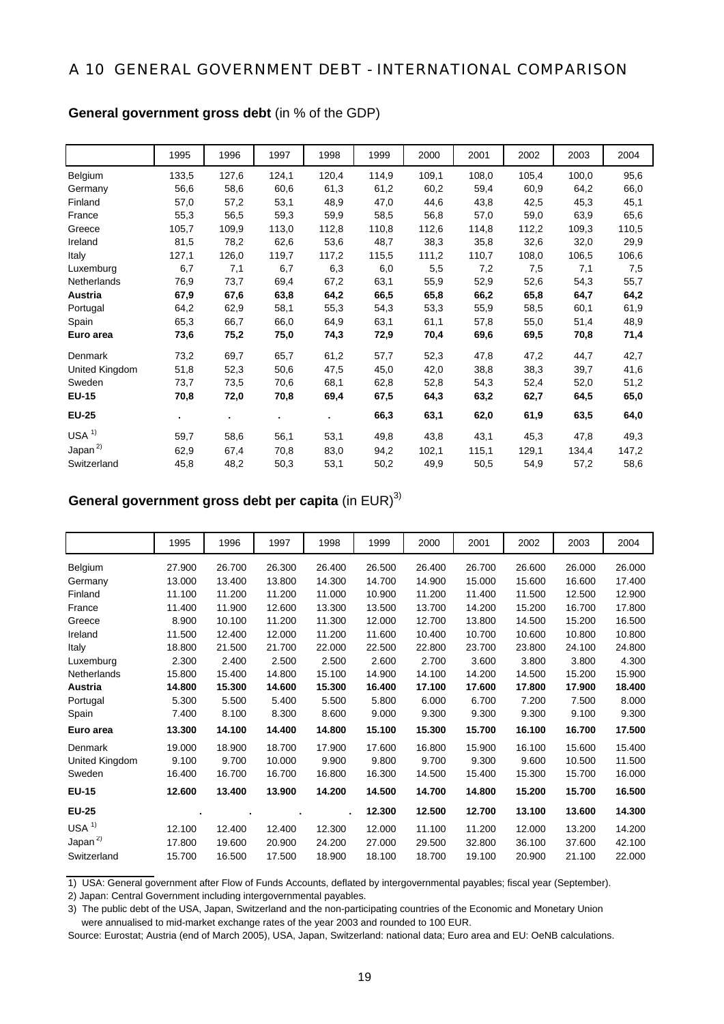### A 10 GENERAL GOVERNMENT DEBT - INTERNATIONAL COMPARISON

| <b>General government gross debt</b> (in % of the GDP) |  |
|--------------------------------------------------------|--|
|--------------------------------------------------------|--|

|                  | 1995           | 1996  | 1997           | 1998  | 1999  | 2000  | 2001  | 2002  | 2003  | 2004  |
|------------------|----------------|-------|----------------|-------|-------|-------|-------|-------|-------|-------|
| Belgium          | 133,5          | 127,6 | 124,1          | 120,4 | 114,9 | 109,1 | 108,0 | 105,4 | 100,0 | 95,6  |
| Germany          | 56,6           | 58,6  | 60,6           | 61,3  | 61,2  | 60,2  | 59,4  | 60,9  | 64,2  | 66,0  |
| Finland          | 57,0           | 57,2  | 53,1           | 48,9  | 47,0  | 44,6  | 43,8  | 42,5  | 45,3  | 45,1  |
| France           | 55,3           | 56,5  | 59,3           | 59,9  | 58,5  | 56,8  | 57,0  | 59,0  | 63,9  | 65,6  |
| Greece           | 105,7          | 109,9 | 113,0          | 112,8 | 110,8 | 112,6 | 114,8 | 112,2 | 109,3 | 110,5 |
| Ireland          | 81,5           | 78,2  | 62,6           | 53,6  | 48,7  | 38,3  | 35,8  | 32,6  | 32,0  | 29,9  |
| Italy            | 127,1          | 126,0 | 119,7          | 117,2 | 115,5 | 111,2 | 110,7 | 108,0 | 106,5 | 106,6 |
| Luxemburg        | 6,7            | 7,1   | 6,7            | 6,3   | 6,0   | 5,5   | 7,2   | 7,5   | 7,1   | 7,5   |
| Netherlands      | 76,9           | 73,7  | 69,4           | 67,2  | 63,1  | 55,9  | 52,9  | 52,6  | 54,3  | 55,7  |
| Austria          | 67,9           | 67,6  | 63,8           | 64,2  | 66,5  | 65,8  | 66,2  | 65,8  | 64,7  | 64,2  |
| Portugal         | 64,2           | 62,9  | 58,1           | 55,3  | 54,3  | 53,3  | 55,9  | 58,5  | 60,1  | 61,9  |
| Spain            | 65,3           | 66,7  | 66,0           | 64,9  | 63,1  | 61,1  | 57,8  | 55,0  | 51,4  | 48,9  |
| Euro area        | 73,6           | 75,2  | 75,0           | 74,3  | 72,9  | 70,4  | 69,6  | 69,5  | 70,8  | 71,4  |
| Denmark          | 73,2           | 69,7  | 65,7           | 61,2  | 57,7  | 52,3  | 47,8  | 47,2  | 44,7  | 42,7  |
| United Kingdom   | 51,8           | 52,3  | 50,6           | 47,5  | 45,0  | 42,0  | 38,8  | 38,3  | 39,7  | 41,6  |
| Sweden           | 73,7           | 73,5  | 70,6           | 68,1  | 62,8  | 52,8  | 54,3  | 52,4  | 52,0  | 51,2  |
| <b>EU-15</b>     | 70,8           | 72,0  | 70,8           | 69,4  | 67,5  | 64,3  | 63,2  | 62,7  | 64,5  | 65,0  |
| <b>EU-25</b>     | $\blacksquare$ |       | $\blacksquare$ | ٠.    | 66,3  | 63,1  | 62,0  | 61,9  | 63,5  | 64,0  |
| USA <sup>1</sup> | 59,7           | 58,6  | 56,1           | 53,1  | 49,8  | 43,8  | 43,1  | 45,3  | 47,8  | 49,3  |
| Japan $^{2)}$    | 62,9           | 67,4  | 70,8           | 83,0  | 94,2  | 102,1 | 115,1 | 129,1 | 134,4 | 147,2 |
| Switzerland      | 45,8           | 48,2  | 50,3           | 53,1  | 50,2  | 49,9  | 50,5  | 54,9  | 57,2  | 58,6  |

### **General government gross debt per capita** (in EUR)<sup>3)</sup>

|                    | 1995   | 1996   | 1997   | 1998   | 1999   | 2000   | 2001   | 2002   | 2003   | 2004   |
|--------------------|--------|--------|--------|--------|--------|--------|--------|--------|--------|--------|
| Belgium            | 27.900 | 26.700 | 26.300 | 26.400 | 26.500 | 26.400 | 26.700 | 26.600 | 26.000 | 26.000 |
| Germany            | 13.000 | 13.400 | 13.800 | 14.300 | 14.700 | 14.900 | 15.000 | 15.600 | 16.600 | 17.400 |
| Finland            | 11.100 | 11.200 | 11.200 | 11.000 | 10.900 | 11.200 | 11.400 | 11.500 | 12.500 | 12.900 |
| France             | 11.400 | 11.900 | 12.600 | 13.300 | 13.500 | 13.700 | 14.200 | 15.200 | 16.700 | 17.800 |
| Greece             | 8.900  | 10.100 | 11.200 | 11.300 | 12.000 | 12.700 | 13.800 | 14.500 | 15.200 | 16.500 |
| Ireland            | 11.500 | 12.400 | 12.000 | 11.200 | 11.600 | 10.400 | 10.700 | 10.600 | 10.800 | 10.800 |
| Italy              | 18.800 | 21.500 | 21.700 | 22,000 | 22.500 | 22.800 | 23.700 | 23.800 | 24.100 | 24.800 |
| Luxemburg          | 2.300  | 2.400  | 2.500  | 2.500  | 2.600  | 2.700  | 3.600  | 3.800  | 3.800  | 4.300  |
| <b>Netherlands</b> | 15.800 | 15.400 | 14.800 | 15.100 | 14.900 | 14.100 | 14.200 | 14.500 | 15.200 | 15.900 |
| Austria            | 14.800 | 15.300 | 14.600 | 15.300 | 16.400 | 17.100 | 17.600 | 17.800 | 17.900 | 18.400 |
| Portugal           | 5.300  | 5.500  | 5.400  | 5.500  | 5.800  | 6.000  | 6.700  | 7.200  | 7.500  | 8.000  |
| Spain              | 7.400  | 8.100  | 8.300  | 8.600  | 9.000  | 9.300  | 9.300  | 9.300  | 9.100  | 9.300  |
| Euro area          | 13.300 | 14.100 | 14.400 | 14.800 | 15.100 | 15.300 | 15.700 | 16.100 | 16.700 | 17.500 |
| Denmark            | 19.000 | 18.900 | 18.700 | 17.900 | 17.600 | 16.800 | 15.900 | 16.100 | 15.600 | 15.400 |
| United Kingdom     | 9.100  | 9.700  | 10.000 | 9.900  | 9.800  | 9.700  | 9.300  | 9.600  | 10.500 | 11.500 |
| Sweden             | 16.400 | 16.700 | 16.700 | 16.800 | 16.300 | 14.500 | 15.400 | 15.300 | 15.700 | 16.000 |
| <b>EU-15</b>       | 12.600 | 13.400 | 13.900 | 14.200 | 14.500 | 14.700 | 14.800 | 15.200 | 15.700 | 16.500 |
| <b>EU-25</b>       |        |        |        |        | 12.300 | 12.500 | 12.700 | 13.100 | 13.600 | 14.300 |
| USA <sup>1</sup>   | 12.100 | 12.400 | 12.400 | 12.300 | 12.000 | 11.100 | 11.200 | 12.000 | 13.200 | 14.200 |
| Japan $^{2)}$      | 17.800 | 19.600 | 20.900 | 24.200 | 27.000 | 29.500 | 32,800 | 36.100 | 37.600 | 42.100 |
| Switzerland        | 15.700 | 16.500 | 17.500 | 18.900 | 18.100 | 18.700 | 19.100 | 20.900 | 21.100 | 22.000 |

1) USA: General government after Flow of Funds Accounts, deflated by intergovernmental payables; fiscal year (September).

2) Japan: Central Government including intergovernmental payables.

were annualised to mid-market exchange rates of the year 2003 and rounded to 100 EUR.

Source: Eurostat; Austria (end of March 2005), USA, Japan, Switzerland: national data; Euro area and EU: OeNB calculations.

<sup>3)</sup> The public debt of the USA, Japan, Switzerland and the non-participating countries of the Economic and Monetary Union